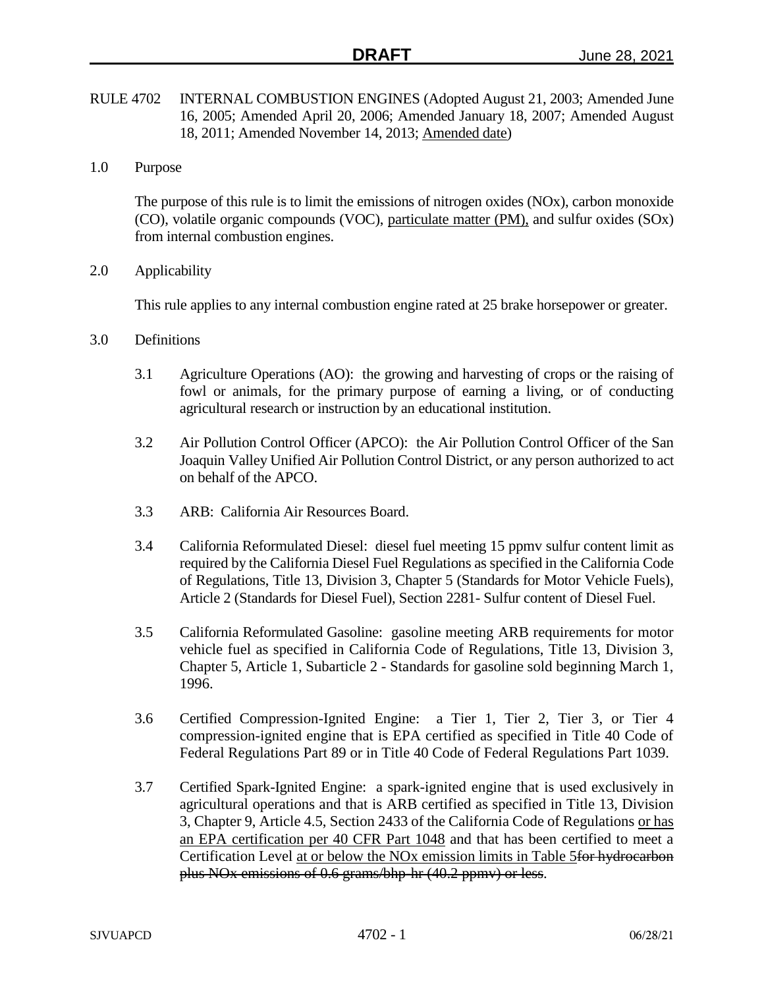- RULE 4702 INTERNAL COMBUSTION ENGINES (Adopted August 21, 2003; Amended June 16, 2005; Amended April 20, 2006; Amended January 18, 2007; Amended August 18, 2011; Amended November 14, 2013; Amended date)
- 1.0 Purpose

The purpose of this rule is to limit the emissions of nitrogen oxides (NOx), carbon monoxide (CO), volatile organic compounds (VOC), particulate matter (PM), and sulfur oxides (SOx) from internal combustion engines.

2.0 Applicability

This rule applies to any internal combustion engine rated at 25 brake horsepower or greater.

- 3.0 Definitions
	- 3.1 Agriculture Operations (AO): the growing and harvesting of crops or the raising of fowl or animals, for the primary purpose of earning a living, or of conducting agricultural research or instruction by an educational institution.
	- 3.2 Air Pollution Control Officer (APCO): the Air Pollution Control Officer of the San Joaquin Valley Unified Air Pollution Control District, or any person authorized to act on behalf of the APCO.
	- 3.3 ARB: California Air Resources Board.
	- 3.4 California Reformulated Diesel: diesel fuel meeting 15 ppmv sulfur content limit as required by the California Diesel Fuel Regulations as specified in the California Code of Regulations, Title 13, Division 3, Chapter 5 (Standards for Motor Vehicle Fuels), Article 2 (Standards for Diesel Fuel), Section 2281- Sulfur content of Diesel Fuel.
	- 3.5 California Reformulated Gasoline: gasoline meeting ARB requirements for motor vehicle fuel as specified in California Code of Regulations, Title 13, Division 3, Chapter 5, Article 1, Subarticle 2 - Standards for gasoline sold beginning March 1, 1996.
	- 3.6 Certified Compression-Ignited Engine: a Tier 1, Tier 2, Tier 3, or Tier 4 compression-ignited engine that is EPA certified as specified in Title 40 Code of Federal Regulations Part 89 or in Title 40 Code of Federal Regulations Part 1039.
	- 3.7 Certified Spark-Ignited Engine: a spark-ignited engine that is used exclusively in agricultural operations and that is ARB certified as specified in Title 13, Division 3, Chapter 9, Article 4.5, Section 2433 of the California Code of Regulations or has an EPA certification per 40 CFR Part 1048 and that has been certified to meet a Certification Level at or below the NOx emission limits in Table 5for hydrocarbon plus NOx emissions of 0.6 grams/bhp-hr (40.2 ppmv) or less.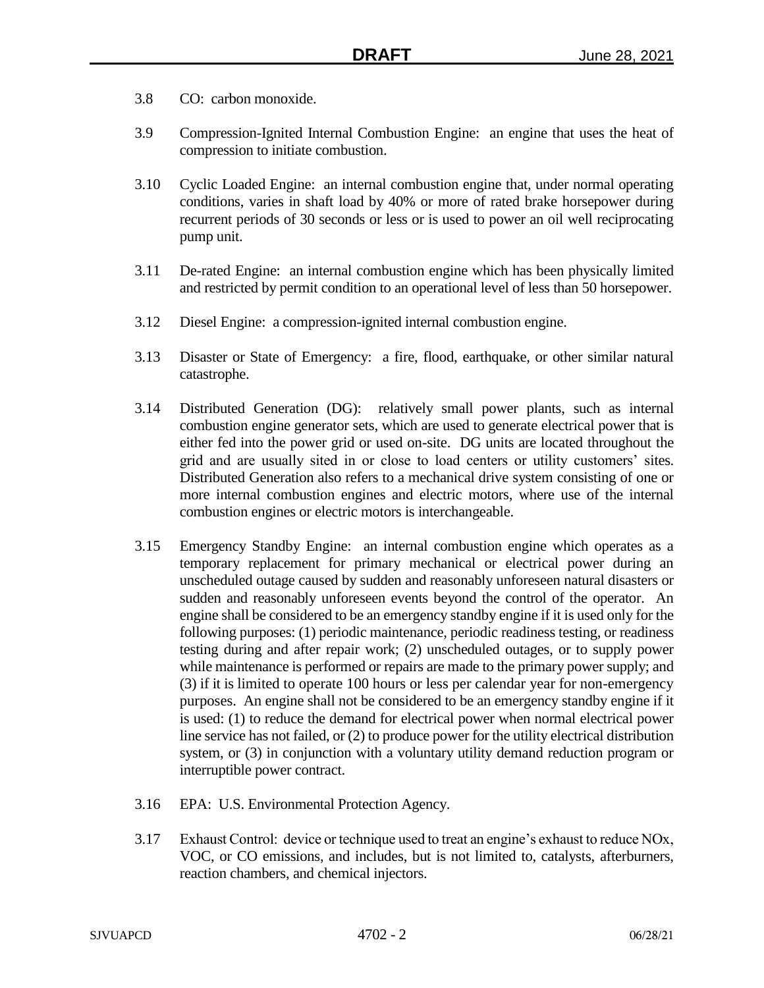- 3.8 CO: carbon monoxide.
- 3.9 Compression-Ignited Internal Combustion Engine: an engine that uses the heat of compression to initiate combustion.
- 3.10 Cyclic Loaded Engine: an internal combustion engine that, under normal operating conditions, varies in shaft load by 40% or more of rated brake horsepower during recurrent periods of 30 seconds or less or is used to power an oil well reciprocating pump unit.
- 3.11 De-rated Engine: an internal combustion engine which has been physically limited and restricted by permit condition to an operational level of less than 50 horsepower.
- 3.12 Diesel Engine: a compression-ignited internal combustion engine.
- 3.13 Disaster or State of Emergency: a fire, flood, earthquake, or other similar natural catastrophe.
- 3.14 Distributed Generation (DG): relatively small power plants, such as internal combustion engine generator sets, which are used to generate electrical power that is either fed into the power grid or used on-site. DG units are located throughout the grid and are usually sited in or close to load centers or utility customers' sites. Distributed Generation also refers to a mechanical drive system consisting of one or more internal combustion engines and electric motors, where use of the internal combustion engines or electric motors is interchangeable.
- 3.15 Emergency Standby Engine: an internal combustion engine which operates as a temporary replacement for primary mechanical or electrical power during an unscheduled outage caused by sudden and reasonably unforeseen natural disasters or sudden and reasonably unforeseen events beyond the control of the operator. An engine shall be considered to be an emergency standby engine if it is used only for the following purposes: (1) periodic maintenance, periodic readiness testing, or readiness testing during and after repair work; (2) unscheduled outages, or to supply power while maintenance is performed or repairs are made to the primary power supply; and (3) if it is limited to operate 100 hours or less per calendar year for non-emergency purposes. An engine shall not be considered to be an emergency standby engine if it is used: (1) to reduce the demand for electrical power when normal electrical power line service has not failed, or (2) to produce power for the utility electrical distribution system, or (3) in conjunction with a voluntary utility demand reduction program or interruptible power contract.
- 3.16 EPA: U.S. Environmental Protection Agency.
- 3.17 Exhaust Control: device or technique used to treat an engine's exhaust to reduce NOx, VOC, or CO emissions, and includes, but is not limited to, catalysts, afterburners, reaction chambers, and chemical injectors.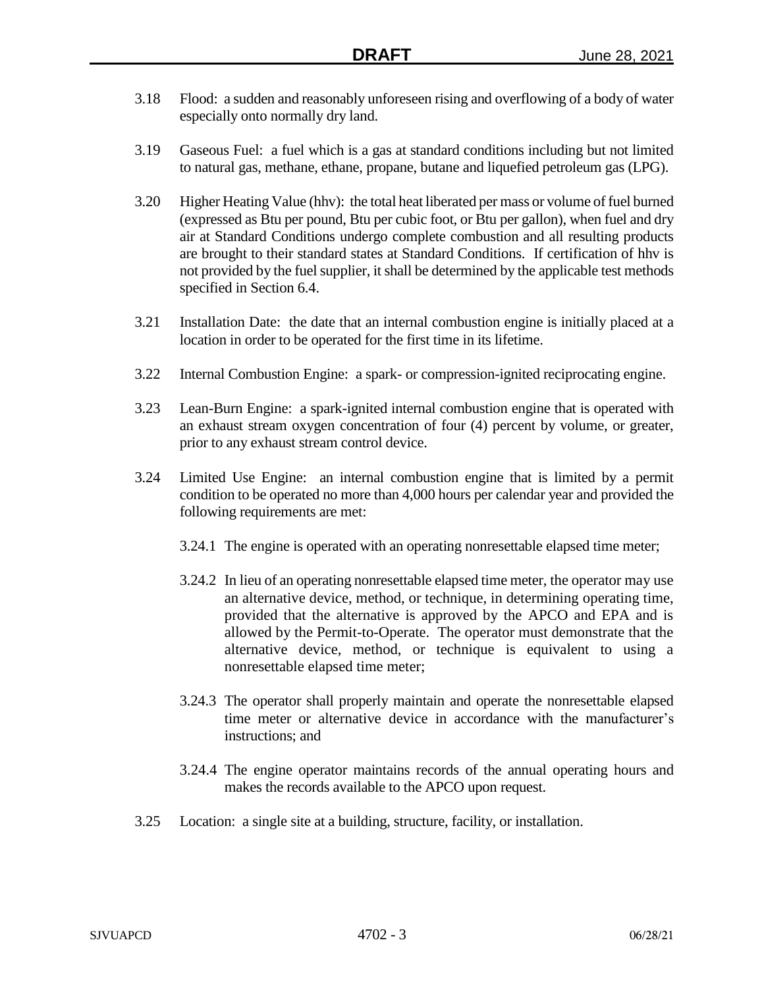- 3.18 Flood: a sudden and reasonably unforeseen rising and overflowing of a body of water especially onto normally dry land.
- 3.19 Gaseous Fuel: a fuel which is a gas at standard conditions including but not limited to natural gas, methane, ethane, propane, butane and liquefied petroleum gas (LPG).
- 3.20 Higher Heating Value (hhv): the total heat liberated per mass or volume of fuel burned (expressed as Btu per pound, Btu per cubic foot, or Btu per gallon), when fuel and dry air at Standard Conditions undergo complete combustion and all resulting products are brought to their standard states at Standard Conditions. If certification of hhv is not provided by the fuel supplier, it shall be determined by the applicable test methods specified in Section 6.4.
- 3.21 Installation Date: the date that an internal combustion engine is initially placed at a location in order to be operated for the first time in its lifetime.
- 3.22 Internal Combustion Engine: a spark- or compression-ignited reciprocating engine.
- 3.23 Lean-Burn Engine: a spark-ignited internal combustion engine that is operated with an exhaust stream oxygen concentration of four (4) percent by volume, or greater, prior to any exhaust stream control device.
- 3.24 Limited Use Engine: an internal combustion engine that is limited by a permit condition to be operated no more than 4,000 hours per calendar year and provided the following requirements are met:
	- 3.24.1 The engine is operated with an operating nonresettable elapsed time meter;
	- 3.24.2 In lieu of an operating nonresettable elapsed time meter, the operator may use an alternative device, method, or technique, in determining operating time, provided that the alternative is approved by the APCO and EPA and is allowed by the Permit-to-Operate. The operator must demonstrate that the alternative device, method, or technique is equivalent to using a nonresettable elapsed time meter;
	- 3.24.3 The operator shall properly maintain and operate the nonresettable elapsed time meter or alternative device in accordance with the manufacturer's instructions; and
	- 3.24.4 The engine operator maintains records of the annual operating hours and makes the records available to the APCO upon request.
- 3.25 Location: a single site at a building, structure, facility, or installation.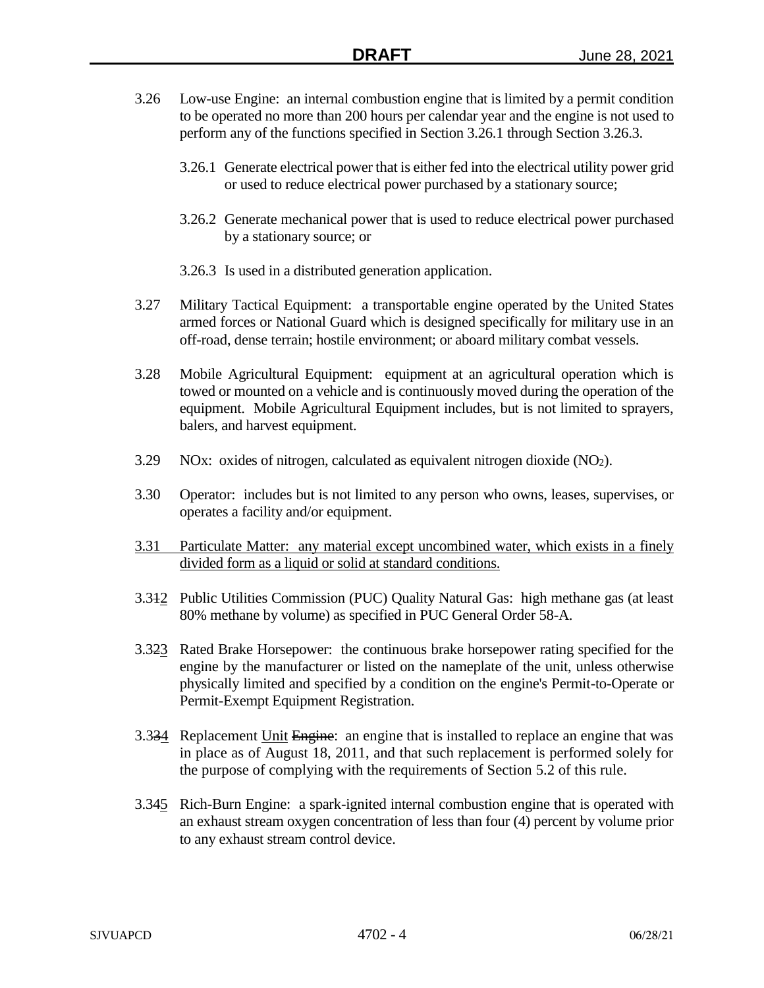- 3.26 Low-use Engine: an internal combustion engine that is limited by a permit condition to be operated no more than 200 hours per calendar year and the engine is not used to perform any of the functions specified in Section 3.26.1 through Section 3.26.3.
	- 3.26.1 Generate electrical power that is either fed into the electrical utility power grid or used to reduce electrical power purchased by a stationary source;
	- 3.26.2 Generate mechanical power that is used to reduce electrical power purchased by a stationary source; or
	- 3.26.3 Is used in a distributed generation application.
- 3.27 Military Tactical Equipment: a transportable engine operated by the United States armed forces or National Guard which is designed specifically for military use in an off-road, dense terrain; hostile environment; or aboard military combat vessels.
- 3.28 Mobile Agricultural Equipment: equipment at an agricultural operation which is towed or mounted on a vehicle and is continuously moved during the operation of the equipment. Mobile Agricultural Equipment includes, but is not limited to sprayers, balers, and harvest equipment.
- $3.29$  NOx: oxides of nitrogen, calculated as equivalent nitrogen dioxide (NO<sub>2</sub>).
- 3.30 Operator: includes but is not limited to any person who owns, leases, supervises, or operates a facility and/or equipment.
- 3.31 Particulate Matter: any material except uncombined water, which exists in a finely divided form as a liquid or solid at standard conditions.
- 3.312 Public Utilities Commission (PUC) Quality Natural Gas: high methane gas (at least 80% methane by volume) as specified in PUC General Order 58-A.
- 3.323 Rated Brake Horsepower: the continuous brake horsepower rating specified for the engine by the manufacturer or listed on the nameplate of the unit, unless otherwise physically limited and specified by a condition on the engine's Permit-to-Operate or Permit-Exempt Equipment Registration.
- 3.334 Replacement Unit Engine: an engine that is installed to replace an engine that was in place as of August 18, 2011, and that such replacement is performed solely for the purpose of complying with the requirements of Section 5.2 of this rule.
- 3.345 Rich-Burn Engine: a spark-ignited internal combustion engine that is operated with an exhaust stream oxygen concentration of less than four (4) percent by volume prior to any exhaust stream control device.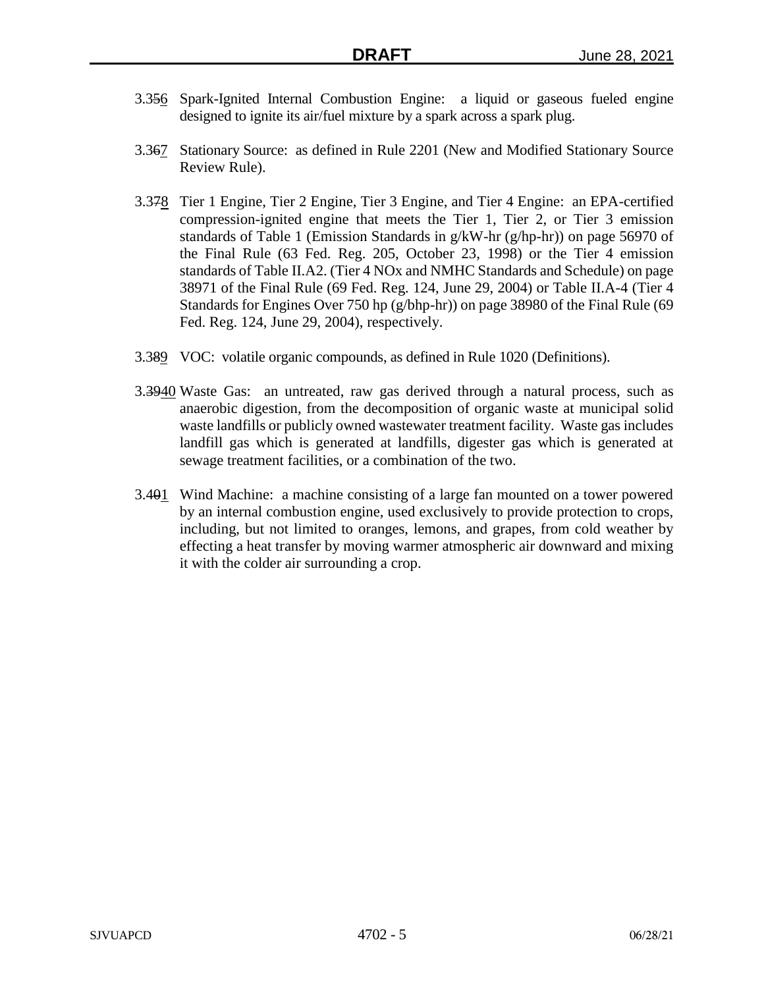- 3.356 Spark-Ignited Internal Combustion Engine: a liquid or gaseous fueled engine designed to ignite its air/fuel mixture by a spark across a spark plug.
- 3.367 Stationary Source: as defined in Rule 2201 (New and Modified Stationary Source Review Rule).
- 3.378 Tier 1 Engine, Tier 2 Engine, Tier 3 Engine, and Tier 4 Engine: an EPA-certified compression-ignited engine that meets the Tier 1, Tier 2, or Tier 3 emission standards of Table 1 (Emission Standards in g/kW-hr (g/hp-hr)) on page 56970 of the Final Rule (63 Fed. Reg. 205, October 23, 1998) or the Tier 4 emission standards of Table II.A2. (Tier 4 NOx and NMHC Standards and Schedule) on page 38971 of the Final Rule (69 Fed. Reg. 124, June 29, 2004) or Table II.A-4 (Tier 4 Standards for Engines Over 750 hp (g/bhp-hr)) on page 38980 of the Final Rule (69 Fed. Reg. 124, June 29, 2004), respectively.
- 3.389 VOC: volatile organic compounds, as defined in Rule 1020 (Definitions).
- 3.3940 Waste Gas: an untreated, raw gas derived through a natural process, such as anaerobic digestion, from the decomposition of organic waste at municipal solid waste landfills or publicly owned wastewater treatment facility. Waste gas includes landfill gas which is generated at landfills, digester gas which is generated at sewage treatment facilities, or a combination of the two.
- 3.401 Wind Machine: a machine consisting of a large fan mounted on a tower powered by an internal combustion engine, used exclusively to provide protection to crops, including, but not limited to oranges, lemons, and grapes, from cold weather by effecting a heat transfer by moving warmer atmospheric air downward and mixing it with the colder air surrounding a crop.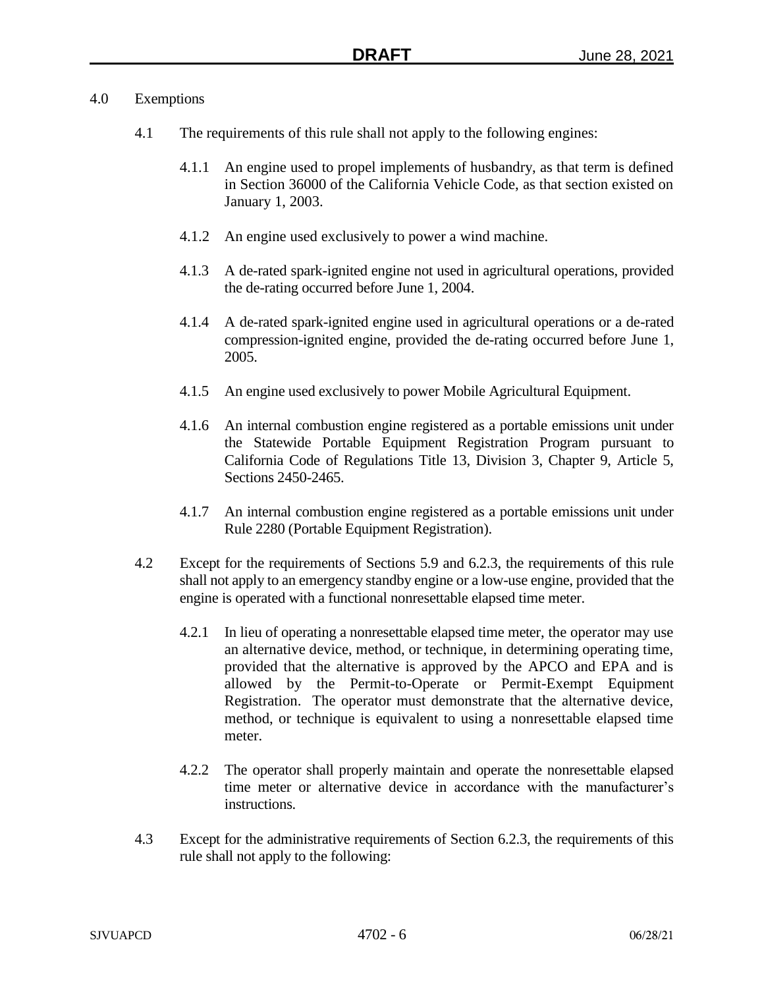## 4.0 Exemptions

- 4.1 The requirements of this rule shall not apply to the following engines:
	- 4.1.1 An engine used to propel implements of husbandry, as that term is defined in Section 36000 of the California Vehicle Code, as that section existed on January 1, 2003.
	- 4.1.2 An engine used exclusively to power a wind machine.
	- 4.1.3 A de-rated spark-ignited engine not used in agricultural operations, provided the de-rating occurred before June 1, 2004.
	- 4.1.4 A de-rated spark-ignited engine used in agricultural operations or a de-rated compression-ignited engine, provided the de-rating occurred before June 1, 2005.
	- 4.1.5 An engine used exclusively to power Mobile Agricultural Equipment.
	- 4.1.6 An internal combustion engine registered as a portable emissions unit under the Statewide Portable Equipment Registration Program pursuant to California Code of Regulations Title 13, Division 3, Chapter 9, Article 5, Sections 2450-2465.
	- 4.1.7 An internal combustion engine registered as a portable emissions unit under Rule 2280 (Portable Equipment Registration).
- 4.2 Except for the requirements of Sections 5.9 and 6.2.3, the requirements of this rule shall not apply to an emergency standby engine or a low-use engine, provided that the engine is operated with a functional nonresettable elapsed time meter.
	- 4.2.1 In lieu of operating a nonresettable elapsed time meter, the operator may use an alternative device, method, or technique, in determining operating time, provided that the alternative is approved by the APCO and EPA and is allowed by the Permit-to-Operate or Permit-Exempt Equipment Registration. The operator must demonstrate that the alternative device, method, or technique is equivalent to using a nonresettable elapsed time meter.
	- 4.2.2 The operator shall properly maintain and operate the nonresettable elapsed time meter or alternative device in accordance with the manufacturer's instructions.
- 4.3 Except for the administrative requirements of Section 6.2.3, the requirements of this rule shall not apply to the following: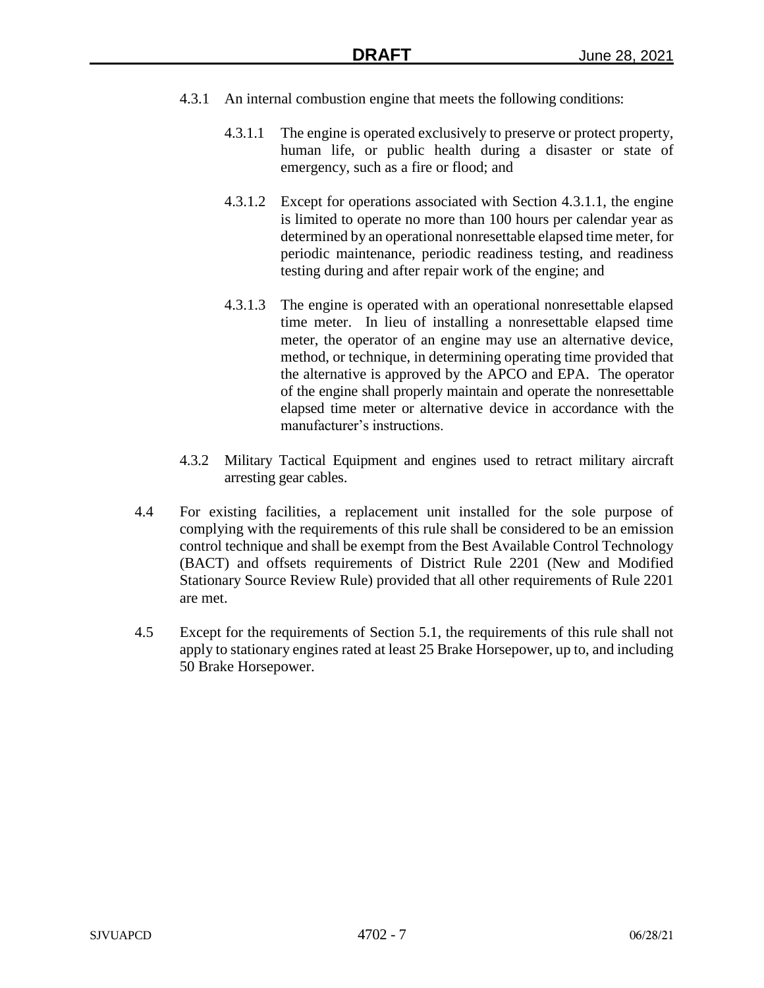- 4.3.1 An internal combustion engine that meets the following conditions:
	- 4.3.1.1 The engine is operated exclusively to preserve or protect property, human life, or public health during a disaster or state of emergency, such as a fire or flood; and
	- 4.3.1.2 Except for operations associated with Section 4.3.1.1, the engine is limited to operate no more than 100 hours per calendar year as determined by an operational nonresettable elapsed time meter, for periodic maintenance, periodic readiness testing, and readiness testing during and after repair work of the engine; and
	- 4.3.1.3 The engine is operated with an operational nonresettable elapsed time meter. In lieu of installing a nonresettable elapsed time meter, the operator of an engine may use an alternative device, method, or technique, in determining operating time provided that the alternative is approved by the APCO and EPA. The operator of the engine shall properly maintain and operate the nonresettable elapsed time meter or alternative device in accordance with the manufacturer's instructions.
- 4.3.2 Military Tactical Equipment and engines used to retract military aircraft arresting gear cables.
- 4.4 For existing facilities, a replacement unit installed for the sole purpose of complying with the requirements of this rule shall be considered to be an emission control technique and shall be exempt from the Best Available Control Technology (BACT) and offsets requirements of District Rule 2201 (New and Modified Stationary Source Review Rule) provided that all other requirements of Rule 2201 are met.
- 4.5 Except for the requirements of Section 5.1, the requirements of this rule shall not apply to stationary engines rated at least 25 Brake Horsepower, up to, and including 50 Brake Horsepower.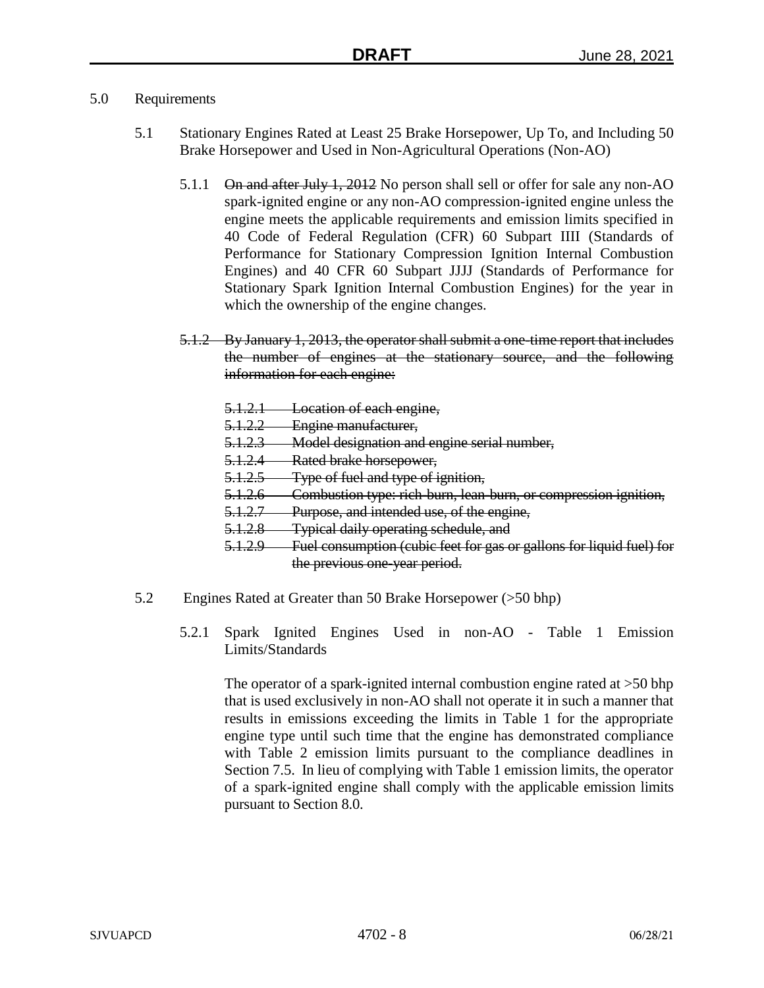# 5.0 Requirements

- 5.1 Stationary Engines Rated at Least 25 Brake Horsepower, Up To, and Including 50 Brake Horsepower and Used in Non-Agricultural Operations (Non-AO)
	- 5.1.1 On and after July 1, 2012 No person shall sell or offer for sale any non-AO spark-ignited engine or any non-AO compression-ignited engine unless the engine meets the applicable requirements and emission limits specified in 40 Code of Federal Regulation (CFR) 60 Subpart IIII (Standards of Performance for Stationary Compression Ignition Internal Combustion Engines) and 40 CFR 60 Subpart JJJJ (Standards of Performance for Stationary Spark Ignition Internal Combustion Engines) for the year in which the ownership of the engine changes.
	- 5.1.2 By January 1, 2013, the operator shall submit a one-time report that includes the number of engines at the stationary source, and the following information for each engine:
		- 5.1.2.1 Location of each engine,
		- 5.1.2.2 Engine manufacturer,
		- 5.1.2.3 Model designation and engine serial number,
		- 5.1.2.4 Rated brake horsepower,
		- 5.1.2.5 Type of fuel and type of ignition,
		- 5.1.2.6 Combustion type: rich-burn, lean-burn, or compression ignition,
		- 5.1.2.7 Purpose, and intended use, of the engine,
		- 5.1.2.8 Typical daily operating schedule, and
		- 5.1.2.9 Fuel consumption (cubic feet for gas or gallons for liquid fuel) for the previous one-year period.
- 5.2 Engines Rated at Greater than 50 Brake Horsepower (>50 bhp)
	- 5.2.1 Spark Ignited Engines Used in non-AO Table 1 Emission Limits/Standards

The operator of a spark-ignited internal combustion engine rated at >50 bhp that is used exclusively in non-AO shall not operate it in such a manner that results in emissions exceeding the limits in Table 1 for the appropriate engine type until such time that the engine has demonstrated compliance with Table 2 emission limits pursuant to the compliance deadlines in Section 7.5. In lieu of complying with Table 1 emission limits, the operator of a spark-ignited engine shall comply with the applicable emission limits pursuant to Section 8.0.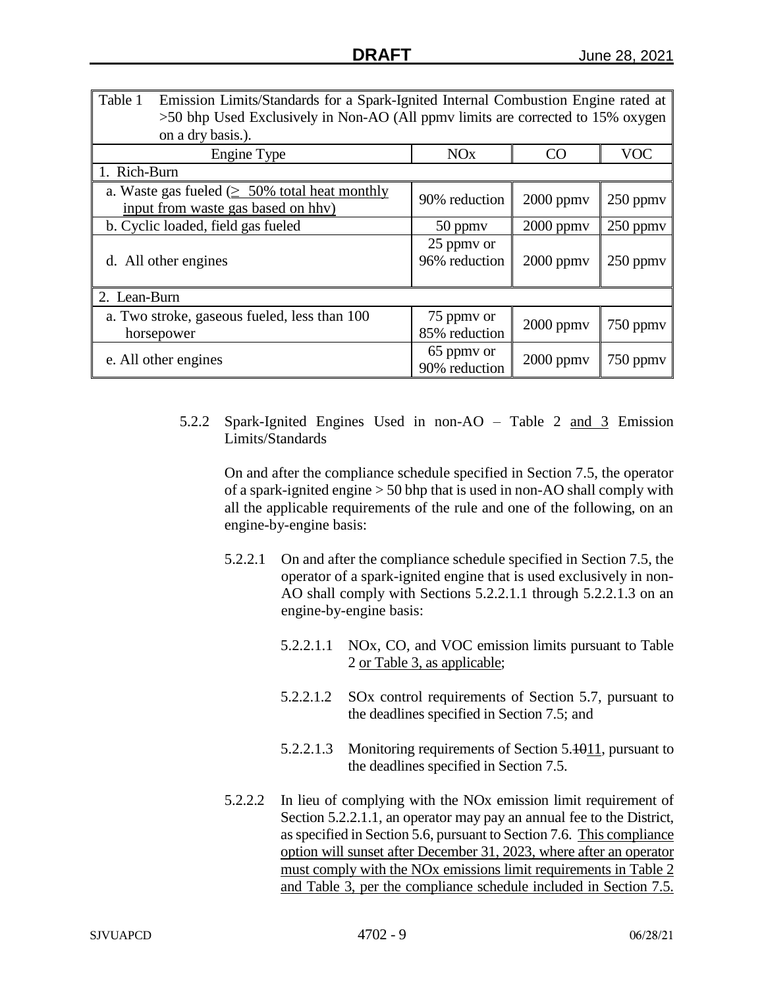| Table 1<br>Emission Limits/Standards for a Spark-Ignited Internal Combustion Engine rated at<br>>50 bhp Used Exclusively in Non-AO (All ppmv limits are corrected to 15% oxygen<br>on a dry basis.). |                             |                |               |  |  |
|------------------------------------------------------------------------------------------------------------------------------------------------------------------------------------------------------|-----------------------------|----------------|---------------|--|--|
| Engine Type                                                                                                                                                                                          | <b>NO<sub>x</sub></b>       | CO             | <b>VOC</b>    |  |  |
| 1. Rich-Burn                                                                                                                                                                                         |                             |                |               |  |  |
| a. Waste gas fueled $( \geq 50\%$ total heat monthly<br>input from waste gas based on hhv)                                                                                                           | 90% reduction               | $2000$ ppmv    | $250$ ppm $v$ |  |  |
| b. Cyclic loaded, field gas fueled                                                                                                                                                                   | 50 ppmy                     | $2000$ ppm $v$ | 250 ppmv      |  |  |
| d. All other engines                                                                                                                                                                                 | 25 ppmy or<br>96% reduction | $2000$ ppm $v$ | $250$ ppm $v$ |  |  |
| 2. Lean-Burn                                                                                                                                                                                         |                             |                |               |  |  |
| a. Two stroke, gaseous fueled, less than 100<br>horsepower                                                                                                                                           | 75 ppmy or<br>85% reduction | $2000$ ppm $v$ | 750 ppmy      |  |  |
| e. All other engines                                                                                                                                                                                 | 65 ppmy or<br>90% reduction | $2000$ ppmv    | 750 ppmv      |  |  |

5.2.2 Spark-Ignited Engines Used in non-AO – Table 2 and 3 Emission Limits/Standards

On and after the compliance schedule specified in Section 7.5, the operator of a spark-ignited engine > 50 bhp that is used in non-AO shall comply with all the applicable requirements of the rule and one of the following, on an engine-by-engine basis:

- 5.2.2.1 On and after the compliance schedule specified in Section 7.5, the operator of a spark-ignited engine that is used exclusively in non-AO shall comply with Sections 5.2.2.1.1 through 5.2.2.1.3 on an engine-by-engine basis:
	- 5.2.2.1.1 NOx, CO, and VOC emission limits pursuant to Table 2 or Table 3, as applicable;
	- 5.2.2.1.2 SOx control requirements of Section 5.7, pursuant to the deadlines specified in Section 7.5; and
	- 5.2.2.1.3 Monitoring requirements of Section 5.1011, pursuant to the deadlines specified in Section 7.5.
- 5.2.2.2 In lieu of complying with the NOx emission limit requirement of Section 5.2.2.1.1, an operator may pay an annual fee to the District, as specified in Section 5.6, pursuant to Section 7.6. This compliance option will sunset after December 31, 2023, where after an operator must comply with the NOx emissions limit requirements in Table 2 and Table 3, per the compliance schedule included in Section 7.5.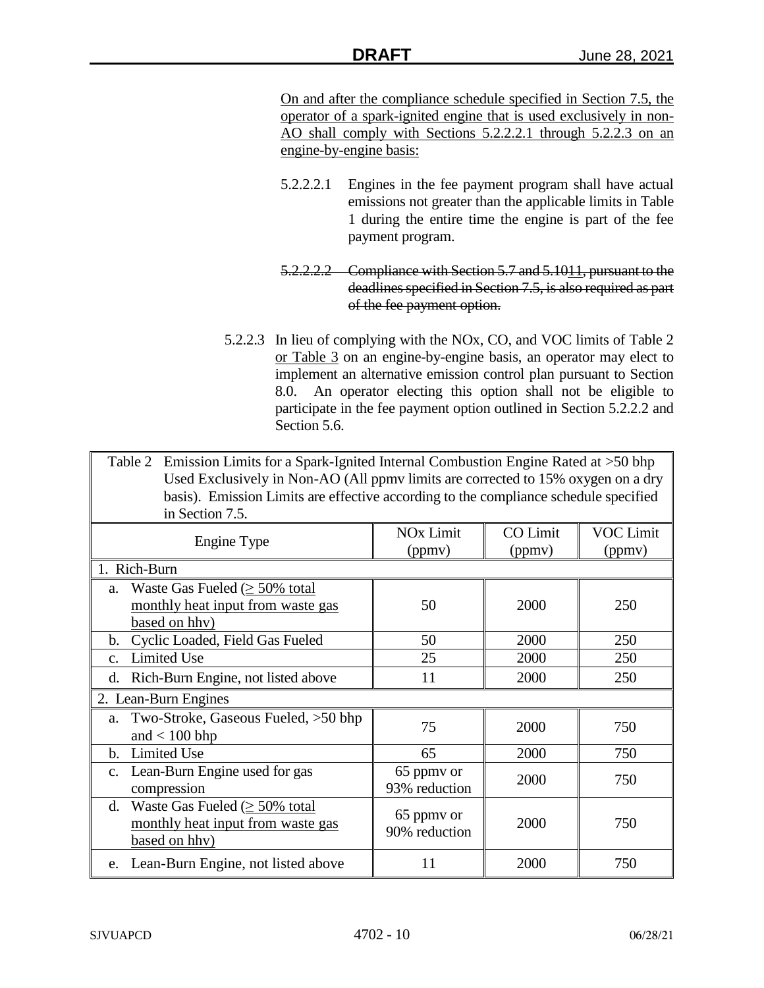On and after the compliance schedule specified in Section 7.5, the operator of a spark-ignited engine that is used exclusively in non-AO shall comply with Sections 5.2.2.2.1 through 5.2.2.3 on an engine-by-engine basis:

- 5.2.2.2.1 Engines in the fee payment program shall have actual emissions not greater than the applicable limits in Table 1 during the entire time the engine is part of the fee payment program.
- 5.2.2.2.2 Compliance with Section 5.7 and 5.1011, pursuant to the deadlines specified in Section 7.5, is also required as part of the fee payment option.
- 5.2.2.3 In lieu of complying with the NOx, CO, and VOC limits of Table 2 or Table 3 on an engine-by-engine basis, an operator may elect to implement an alternative emission control plan pursuant to Section 8.0. An operator electing this option shall not be eligible to participate in the fee payment option outlined in Section 5.2.2.2 and Section 5.6.

Table 2 Emission Limits for a Spark-Ignited Internal Combustion Engine Rated at >50 bhp Used Exclusively in Non-AO (All ppmv limits are corrected to 15% oxygen on a dry basis). Emission Limits are effective according to the compliance schedule specified in Section 7.5.

| Engine Type   |                                                | <b>NO<sub>x</sub></b> Limit | <b>CO</b> Limit | <b>VOC Limit</b> |  |
|---------------|------------------------------------------------|-----------------------------|-----------------|------------------|--|
|               |                                                | (ppmv)                      | (ppmv)          | (ppmv)           |  |
| 1. Rich-Burn  |                                                |                             |                 |                  |  |
| a.            | Waste Gas Fueled $( \geq 50\% \text{ total}$   |                             |                 |                  |  |
|               | monthly heat input from waste gas              | 50                          | 2000            | 250              |  |
|               | based on hhv)                                  |                             |                 |                  |  |
| b.            | Cyclic Loaded, Field Gas Fueled                | 50                          | 2000            | 250              |  |
| $C_{\star}$   | <b>Limited Use</b>                             | 25                          | 2000            | 250              |  |
| d.            | Rich-Burn Engine, not listed above             | 11                          | 2000            | 250              |  |
|               | 2. Lean-Burn Engines                           |                             |                 |                  |  |
|               | a. Two-Stroke, Gaseous Fueled, >50 bhp         | 75                          | 2000            | 750              |  |
|               | and $< 100$ bhp                                |                             |                 |                  |  |
| b.            | <b>Limited Use</b>                             | 65                          | 2000            | 750              |  |
| $C_{\bullet}$ | Lean-Burn Engine used for gas                  | 65 ppmy or                  | 2000            | 750              |  |
|               | compression                                    | 93% reduction               |                 |                  |  |
| d.            | Waste Gas Fueled $( \geq 50\% \text{ total} )$ |                             |                 |                  |  |
|               | monthly heat input from waste gas              | 65 ppmy or<br>90% reduction | 2000            | 750              |  |
|               | based on hhy)                                  |                             |                 |                  |  |
|               | e. Lean-Burn Engine, not listed above          | 11                          | 2000            | 750              |  |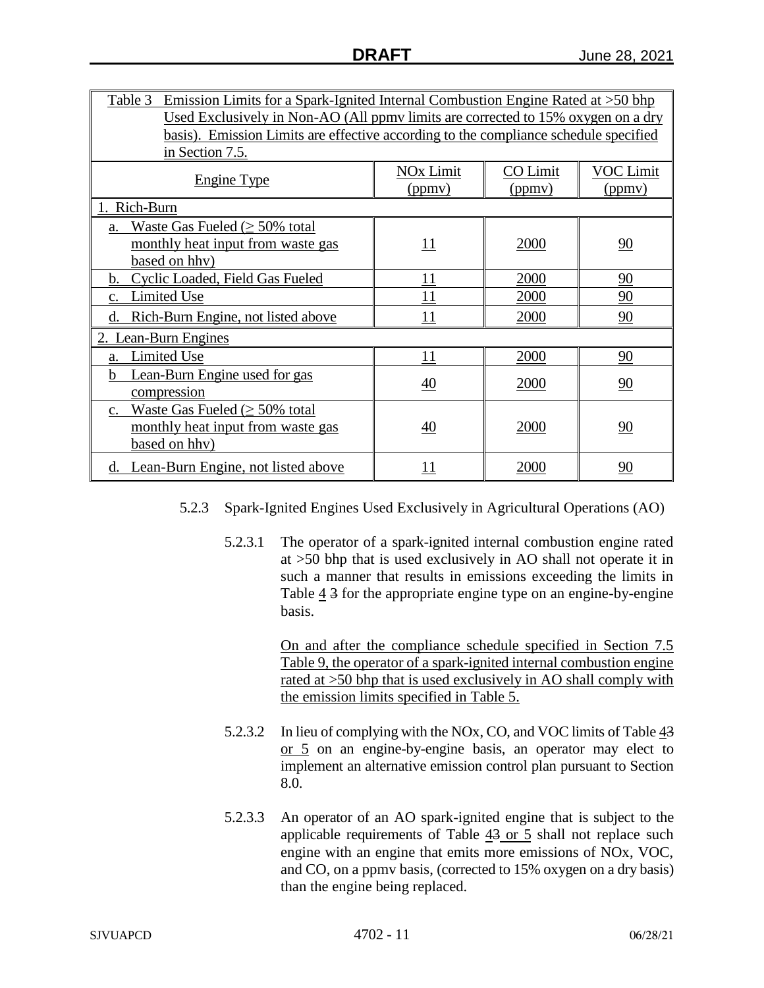| <u>Emission Limits for a Spark-Ignited Internal Combustion Engine Rated at <math>&gt;50</math> bhp</u><br>Table 3 |                                                                                  |             |           |  |  |  |
|-------------------------------------------------------------------------------------------------------------------|----------------------------------------------------------------------------------|-------------|-----------|--|--|--|
|                                                                                                                   | Used Exclusively in Non-AO (All ppmy limits are corrected to 15% oxygen on a dry |             |           |  |  |  |
| basis). Emission Limits are effective according to the compliance schedule specified                              |                                                                                  |             |           |  |  |  |
| in Section 7.5.                                                                                                   |                                                                                  |             |           |  |  |  |
|                                                                                                                   | <b>NO<sub>x</sub></b> Limit                                                      | CO Limit    | VOC Limit |  |  |  |
| <b>Engine Type</b>                                                                                                | (ppmv)                                                                           | (ppmv)      | (ppmv)    |  |  |  |
| Rich-Burn<br>$1_{\scriptscriptstyle\pm}$                                                                          |                                                                                  |             |           |  |  |  |
| Waste Gas Fueled $( \geq 50\%$ total<br>a.                                                                        |                                                                                  |             |           |  |  |  |
| monthly heat input from waste gas                                                                                 | 11                                                                               | 2000        | 90        |  |  |  |
| based on hhv)                                                                                                     |                                                                                  |             |           |  |  |  |
| Cyclic Loaded, Field Gas Fueled<br>2000<br>11<br>90<br>b.                                                         |                                                                                  |             |           |  |  |  |
| Limited Use<br>c.                                                                                                 | 11                                                                               | <u>2000</u> | 90        |  |  |  |
| Rich-Burn Engine, not listed above<br>d.                                                                          | 11                                                                               | 2000        | 90        |  |  |  |
| 2. Lean-Burn Engines                                                                                              |                                                                                  |             |           |  |  |  |
| Limited Use<br>a.                                                                                                 | 11                                                                               | 2000        | 90        |  |  |  |
| Lean-Burn Engine used for gas<br>h                                                                                |                                                                                  |             |           |  |  |  |
| compression                                                                                                       | 40                                                                               | 2000        | 90        |  |  |  |
| Waste Gas Fueled ( $\geq$ 50% total<br>$c_{\cdot}$                                                                |                                                                                  |             |           |  |  |  |
| monthly heat input from waste gas                                                                                 | 40                                                                               | 2000        | 90        |  |  |  |
| based on hhv)                                                                                                     |                                                                                  |             |           |  |  |  |
| Lean-Burn Engine, not listed above<br>d.                                                                          | <u> 11</u>                                                                       | 2000        | 90        |  |  |  |

- 5.2.3 Spark-Ignited Engines Used Exclusively in Agricultural Operations (AO)
	- 5.2.3.1 The operator of a spark-ignited internal combustion engine rated at >50 bhp that is used exclusively in AO shall not operate it in such a manner that results in emissions exceeding the limits in Table  $\frac{4}{3}$  for the appropriate engine type on an engine-by-engine basis.

On and after the compliance schedule specified in Section 7.5 Table 9, the operator of a spark-ignited internal combustion engine rated at >50 bhp that is used exclusively in AO shall comply with the emission limits specified in Table 5.

- 5.2.3.2 In lieu of complying with the NOx, CO, and VOC limits of Table 43 or 5 on an engine-by-engine basis, an operator may elect to implement an alternative emission control plan pursuant to Section 8.0.
- 5.2.3.3 An operator of an AO spark-ignited engine that is subject to the applicable requirements of Table 43 or 5 shall not replace such engine with an engine that emits more emissions of NOx, VOC, and CO, on a ppmv basis, (corrected to 15% oxygen on a dry basis) than the engine being replaced.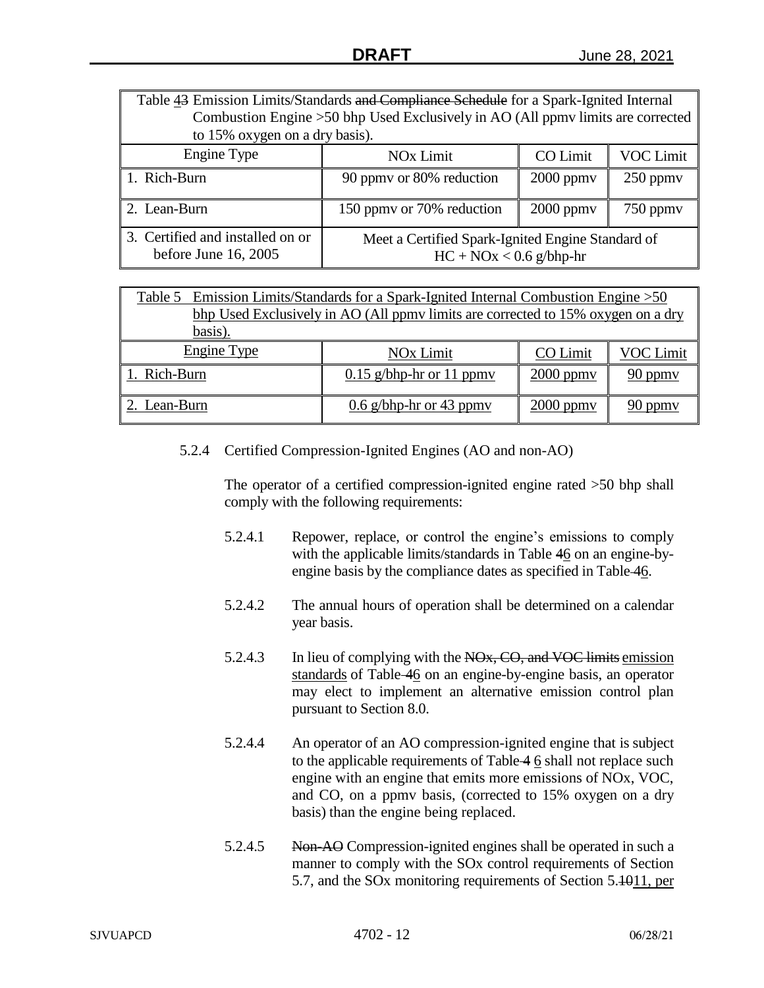| Table 43 Emission Limits/Standards and Compliance Schedule for a Spark-Ignited Internal |                                                                                 |  |  |  |  |
|-----------------------------------------------------------------------------------------|---------------------------------------------------------------------------------|--|--|--|--|
|                                                                                         | Combustion Engine >50 bhp Used Exclusively in AO (All ppmv limits are corrected |  |  |  |  |
| to 15% oxygen on a dry basis).                                                          |                                                                                 |  |  |  |  |
| Engine Type                                                                             | <b>VOC Limit</b><br>CO Limit<br><b>NO<sub>x</sub></b> Limit                     |  |  |  |  |
| 1. Rich-Burn                                                                            | 90 ppmy or 80% reduction<br>$2000$ ppm $v$<br>$250$ ppmy                        |  |  |  |  |
| 2. Lean-Burn                                                                            | 150 ppmy or 70% reduction<br>$2000$ ppm $v$<br>$750$ ppm $v$                    |  |  |  |  |
| 3. Certified and installed on or<br>before June $16, 2005$                              | Meet a Certified Spark-Ignited Engine Standard of<br>$HC + NOx < 0.6$ g/bhp-hr  |  |  |  |  |

| Table 5 Emission Limits/Standards for a Spark-Ignited Internal Combustion Engine > 50<br>bhp Used Exclusively in AO (All ppmy limits are corrected to 15% oxygen on a dry |                |         |  |  |  |
|---------------------------------------------------------------------------------------------------------------------------------------------------------------------------|----------------|---------|--|--|--|
| basis).                                                                                                                                                                   |                |         |  |  |  |
| Engine Type<br>CO Limit<br>VOC Limit<br>NO <sub>x</sub> Limit                                                                                                             |                |         |  |  |  |
| . Rich-Burn                                                                                                                                                               | $2000$ ppm $v$ | 90 ppmy |  |  |  |
| $0.6$ g/bhp-hr or 43 ppmy<br>$2000$ ppm $v$<br>2. Lean-Burn<br>ppmy                                                                                                       |                |         |  |  |  |

5.2.4 Certified Compression-Ignited Engines (AO and non-AO)

The operator of a certified compression-ignited engine rated >50 bhp shall comply with the following requirements:

- 5.2.4.1 Repower, replace, or control the engine's emissions to comply with the applicable limits/standards in Table 46 on an engine-byengine basis by the compliance dates as specified in Table 46.
- 5.2.4.2 The annual hours of operation shall be determined on a calendar year basis.
- 5.2.4.3 In lieu of complying with the NO<sub>x</sub>, CO, and VOC limits emission standards of Table 46 on an engine-by-engine basis, an operator may elect to implement an alternative emission control plan pursuant to Section 8.0.
- 5.2.4.4 An operator of an AO compression-ignited engine that is subject to the applicable requirements of Table  $46$  shall not replace such engine with an engine that emits more emissions of NOx, VOC, and CO, on a ppmv basis, (corrected to 15% oxygen on a dry basis) than the engine being replaced.
- 5.2.4.5 Non-AO Compression-ignited engines shall be operated in such a manner to comply with the SOx control requirements of Section 5.7, and the SOx monitoring requirements of Section 5.1011, per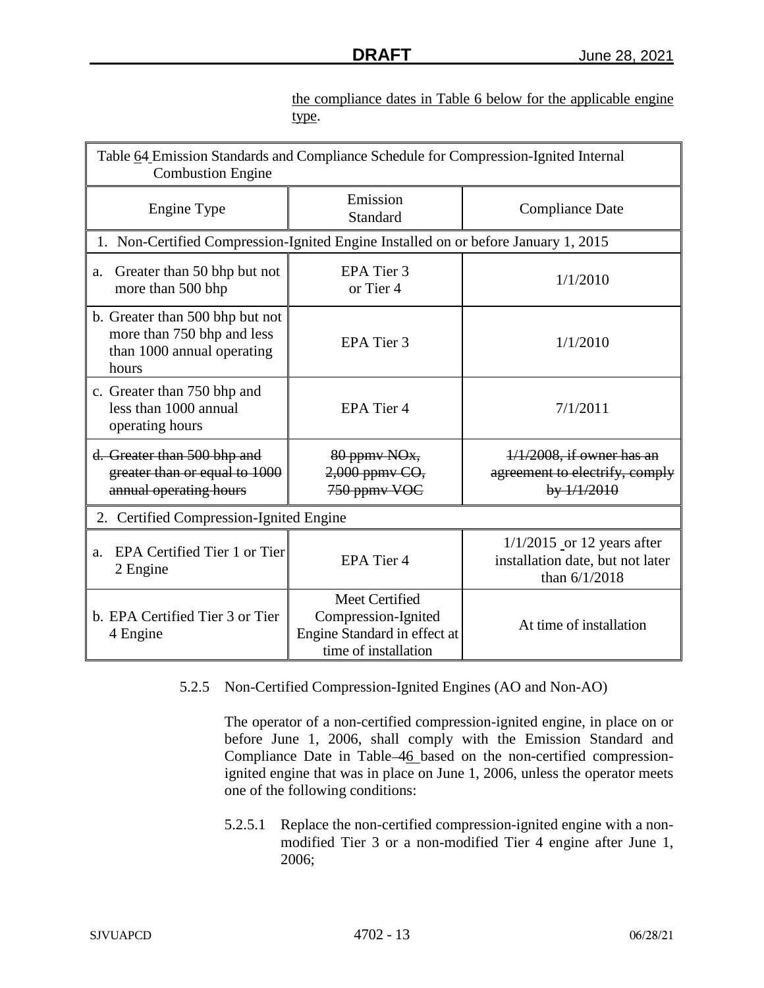the compliance dates in Table 6 below for the applicable engine type.

| Table 64 Emission Standards and Compliance Schedule for Compression-Ignited Internal<br><b>Combustion Engine</b> |                                                                                               |                                                                                     |  |  |
|------------------------------------------------------------------------------------------------------------------|-----------------------------------------------------------------------------------------------|-------------------------------------------------------------------------------------|--|--|
| Engine Type                                                                                                      | Emission<br>Standard                                                                          | <b>Compliance Date</b>                                                              |  |  |
| 1. Non-Certified Compression-Ignited Engine Installed on or before January 1, 2015                               |                                                                                               |                                                                                     |  |  |
| Greater than 50 bhp but not<br>a.<br>more than 500 bhp                                                           | EPA Tier 3<br>or Tier 4                                                                       | 1/1/2010                                                                            |  |  |
| b. Greater than 500 bhp but not<br>more than 750 bhp and less<br>than 1000 annual operating<br>hours             | EPA Tier 3                                                                                    | 1/1/2010                                                                            |  |  |
| c. Greater than 750 bhp and<br>less than 1000 annual<br>operating hours                                          | EPA Tier 4                                                                                    | 7/1/2011                                                                            |  |  |
| d. Greater than 500 bhp and<br>greater than or equal to 1000<br>annual operating hours                           | 80 ppmy NO <sub>x</sub> ,<br>2,000 ppmy CO,<br>750 ppmy VOC                                   | $1/1/2008$ , if owner has an<br>agreement to electrify, comply<br>by 1/1/2010       |  |  |
| 2. Certified Compression-Ignited Engine                                                                          |                                                                                               |                                                                                     |  |  |
| EPA Certified Tier 1 or Tier<br>a.<br>2 Engine                                                                   | EPA Tier 4                                                                                    | $1/1/2015$ or 12 years after<br>installation date, but not later<br>than $6/1/2018$ |  |  |
| b. EPA Certified Tier 3 or Tier<br>4 Engine                                                                      | Meet Certified<br>Compression-Ignited<br>Engine Standard in effect at<br>time of installation | At time of installation                                                             |  |  |

5.2.5 Non-Certified Compression-Ignited Engines (AO and Non-AO)

The operator of a non-certified compression-ignited engine, in place on or before June 1, 2006, shall comply with the Emission Standard and Compliance Date in Table-46 based on the non-certified compressionignited engine that was in place on June 1, 2006, unless the operator meets one of the following conditions:

5.2.5.1 Replace the non-certified compression-ignited engine with a nonmodified Tier 3 or a non-modified Tier 4 engine after June 1, 2006;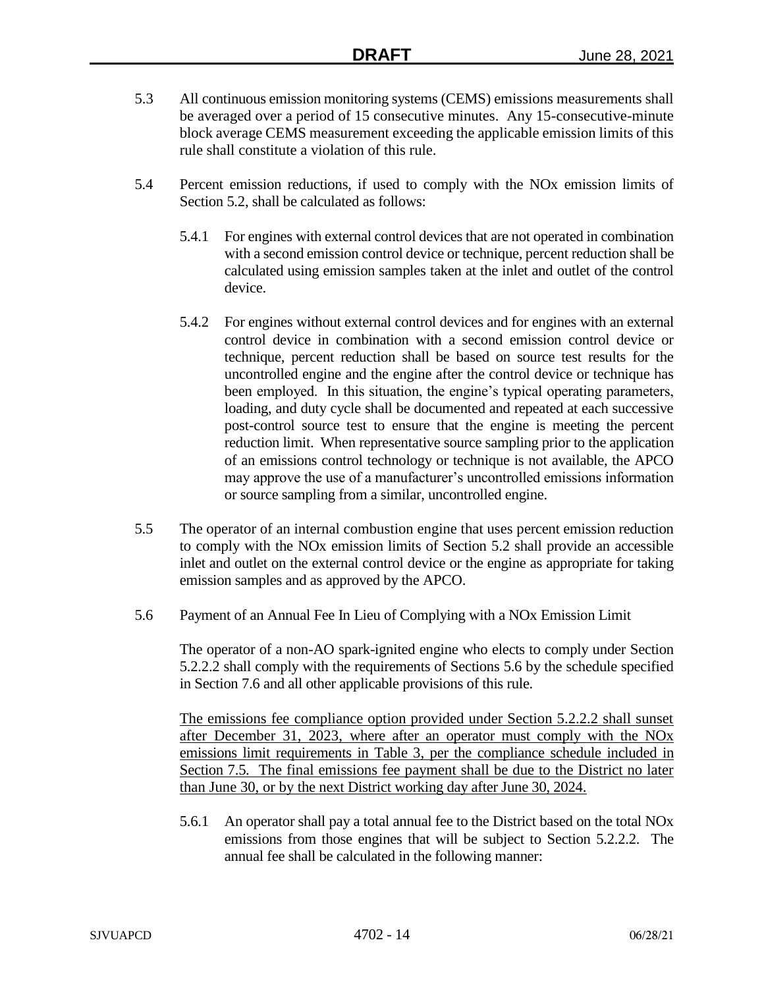- 5.3 All continuous emission monitoring systems (CEMS) emissions measurements shall be averaged over a period of 15 consecutive minutes. Any 15-consecutive-minute block average CEMS measurement exceeding the applicable emission limits of this rule shall constitute a violation of this rule.
- 5.4 Percent emission reductions, if used to comply with the NOx emission limits of Section 5.2, shall be calculated as follows:
	- 5.4.1 For engines with external control devices that are not operated in combination with a second emission control device or technique, percent reduction shall be calculated using emission samples taken at the inlet and outlet of the control device.
	- 5.4.2 For engines without external control devices and for engines with an external control device in combination with a second emission control device or technique, percent reduction shall be based on source test results for the uncontrolled engine and the engine after the control device or technique has been employed. In this situation, the engine's typical operating parameters, loading, and duty cycle shall be documented and repeated at each successive post-control source test to ensure that the engine is meeting the percent reduction limit. When representative source sampling prior to the application of an emissions control technology or technique is not available, the APCO may approve the use of a manufacturer's uncontrolled emissions information or source sampling from a similar, uncontrolled engine.
- 5.5 The operator of an internal combustion engine that uses percent emission reduction to comply with the NOx emission limits of Section 5.2 shall provide an accessible inlet and outlet on the external control device or the engine as appropriate for taking emission samples and as approved by the APCO.
- 5.6 Payment of an Annual Fee In Lieu of Complying with a NOx Emission Limit

The operator of a non-AO spark-ignited engine who elects to comply under Section 5.2.2.2 shall comply with the requirements of Sections 5.6 by the schedule specified in Section 7.6 and all other applicable provisions of this rule.

The emissions fee compliance option provided under Section 5.2.2.2 shall sunset after December 31, 2023, where after an operator must comply with the NOx emissions limit requirements in Table 3, per the compliance schedule included in Section 7.5. The final emissions fee payment shall be due to the District no later than June 30, or by the next District working day after June 30, 2024.

5.6.1 An operator shall pay a total annual fee to the District based on the total NOx emissions from those engines that will be subject to Section 5.2.2.2. The annual fee shall be calculated in the following manner: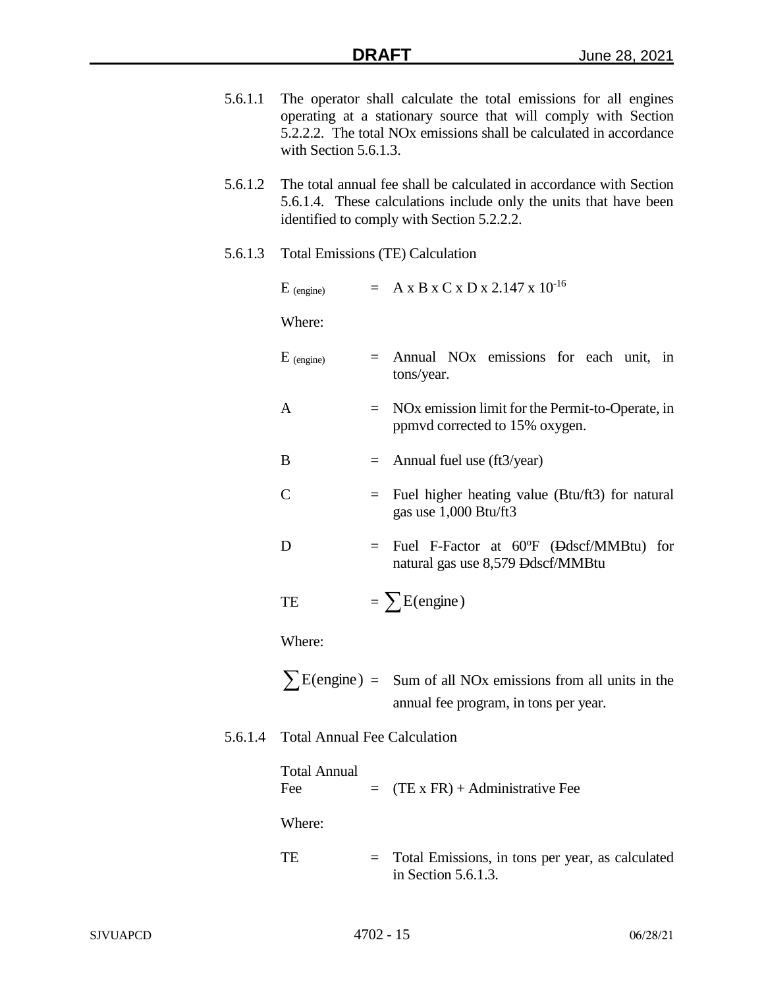- 5.6.1.1 The operator shall calculate the total emissions for all engines operating at a stationary source that will comply with Section 5.2.2.2. The total NOx emissions shall be calculated in accordance with Section 5.6.1.3.
- 5.6.1.2 The total annual fee shall be calculated in accordance with Section 5.6.1.4. These calculations include only the units that have been identified to comply with Section 5.2.2.2.

### 5.6.1.3 Total Emissions (TE) Calculation

| $E_{(engine)}$ |     | $= A x B x C x D x 2.147 x 10^{-16}$                                                           |
|----------------|-----|------------------------------------------------------------------------------------------------|
| Where:         |     |                                                                                                |
| $E_{(engine)}$ | $=$ | Annual NO <sub>x</sub> emissions for each unit, in<br>tons/year.                               |
| A              |     | NO <sub>x</sub> emission limit for the Permit-to-Operate, in<br>ppmvd corrected to 15% oxygen. |
| B              | $=$ | Annual fuel use (ft3/year)                                                                     |
| $\subset$      | $=$ | Fuel higher heating value (Btu/ft3) for natural<br>gas use 1,000 Btu/ft3                       |
| D              | $=$ | Fuel F-Factor at 60°F (Ddscf/MMBtu) for<br>natural gas use 8,579 Ddscf/MMBtu                   |
| TE             |     | $=$ $\sum$ E(engine)                                                                           |
| Where:         |     |                                                                                                |
|                |     | $\sum E(\text{engine}) =$ Sum of all NOx emissions from all units in the                       |

#### 5.6.1.4 Total Annual Fee Calculation

| <b>Total Annual</b><br>Fee | $=$ (TE x FR) + Administrative Fee                                             |
|----------------------------|--------------------------------------------------------------------------------|
| Where:                     |                                                                                |
| <b>TE</b>                  | $=$ Total Emissions, in tons per year, as calculated<br>in Section $5.6.1.3$ . |

annual fee program, in tons per year.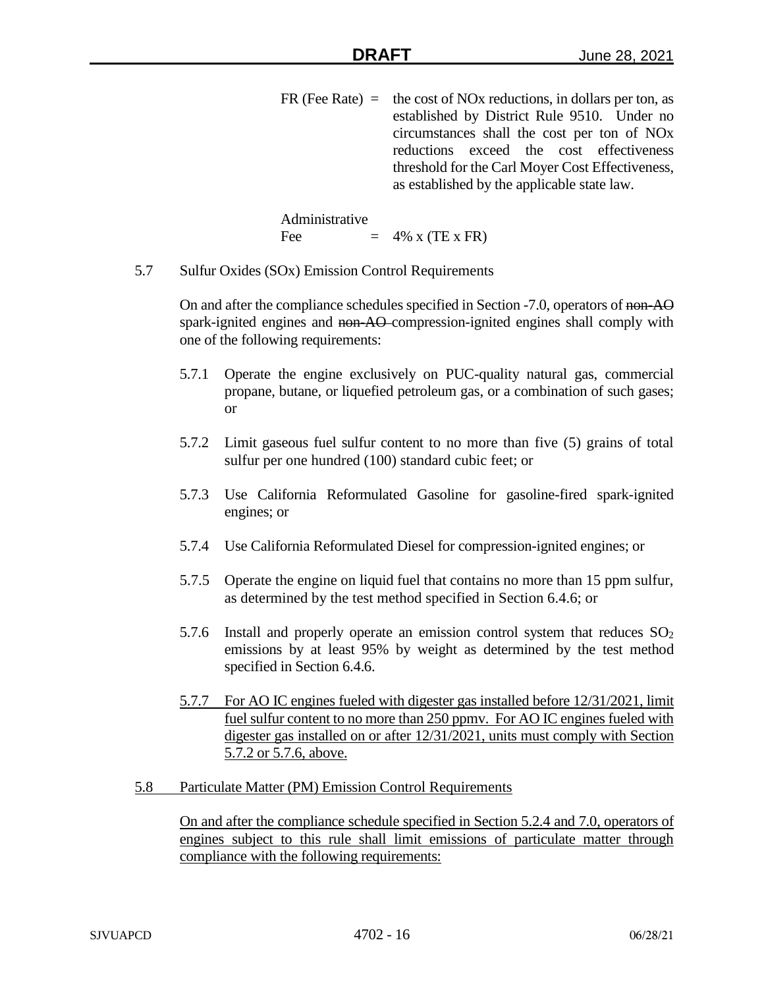$FR$  (Fee Rate) = the cost of NOx reductions, in dollars per ton, as established by District Rule 9510. Under no circumstances shall the cost per ton of NOx reductions exceed the cost effectiveness threshold for the Carl Moyer Cost Effectiveness, as established by the applicable state law.

Administrative Fee  $= 4\% \times (TE \times FR)$ 

5.7 Sulfur Oxides (SOx) Emission Control Requirements

On and after the compliance schedules specified in Section -7.0, operators of non-AO spark-ignited engines and non-AO-compression-ignited engines shall comply with one of the following requirements:

- 5.7.1 Operate the engine exclusively on PUC-quality natural gas, commercial propane, butane, or liquefied petroleum gas, or a combination of such gases; or
- 5.7.2 Limit gaseous fuel sulfur content to no more than five (5) grains of total sulfur per one hundred (100) standard cubic feet; or
- 5.7.3 Use California Reformulated Gasoline for gasoline-fired spark-ignited engines; or
- 5.7.4 Use California Reformulated Diesel for compression-ignited engines; or
- 5.7.5 Operate the engine on liquid fuel that contains no more than 15 ppm sulfur, as determined by the test method specified in Section 6.4.6; or
- 5.7.6 Install and properly operate an emission control system that reduces  $SO<sub>2</sub>$ emissions by at least 95% by weight as determined by the test method specified in Section 6.4.6.
- 5.7.7 For AO IC engines fueled with digester gas installed before 12/31/2021, limit fuel sulfur content to no more than 250 ppmv. For AO IC engines fueled with digester gas installed on or after 12/31/2021, units must comply with Section 5.7.2 or 5.7.6, above.
- 5.8 Particulate Matter (PM) Emission Control Requirements

On and after the compliance schedule specified in Section 5.2.4 and 7.0, operators of engines subject to this rule shall limit emissions of particulate matter through compliance with the following requirements: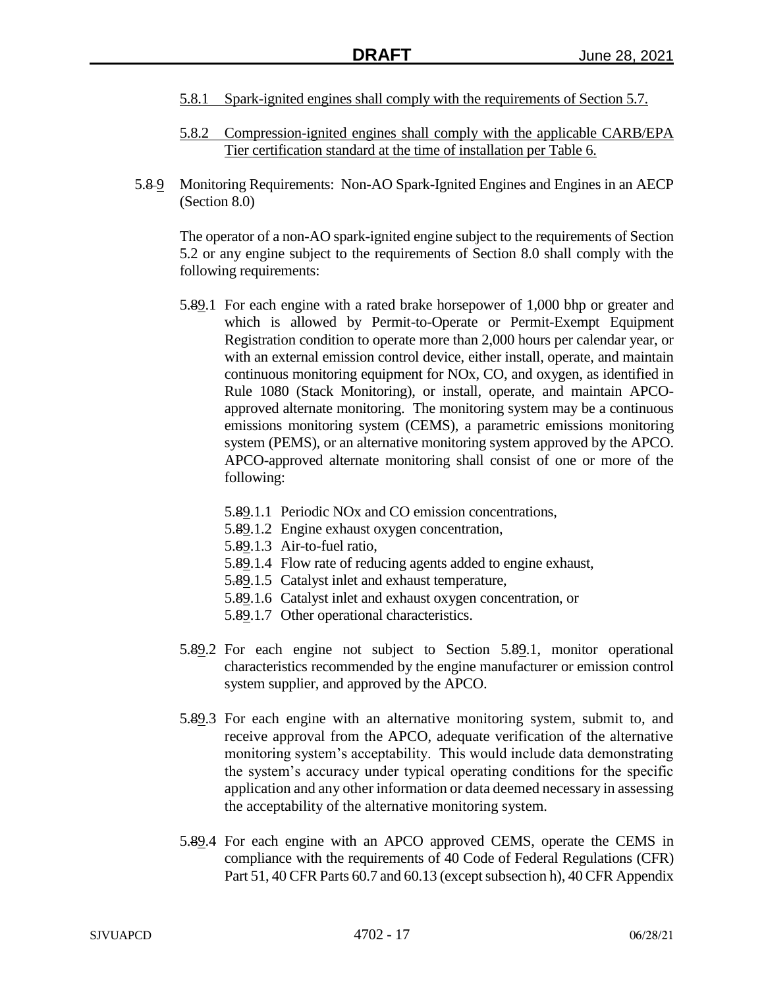- 5.8.1 Spark-ignited engines shall comply with the requirements of Section 5.7.
- 5.8.2 Compression-ignited engines shall comply with the applicable CARB/EPA Tier certification standard at the time of installation per Table 6.
- 5.8-9 Monitoring Requirements: Non-AO Spark-Ignited Engines and Engines in an AECP (Section 8.0)

The operator of a non-AO spark-ignited engine subject to the requirements of Section 5.2 or any engine subject to the requirements of Section 8.0 shall comply with the following requirements:

- 5.89.1 For each engine with a rated brake horsepower of 1,000 bhp or greater and which is allowed by Permit-to-Operate or Permit-Exempt Equipment Registration condition to operate more than 2,000 hours per calendar year, or with an external emission control device, either install, operate, and maintain continuous monitoring equipment for NOx, CO, and oxygen, as identified in Rule 1080 (Stack Monitoring), or install, operate, and maintain APCOapproved alternate monitoring. The monitoring system may be a continuous emissions monitoring system (CEMS), a parametric emissions monitoring system (PEMS), or an alternative monitoring system approved by the APCO. APCO-approved alternate monitoring shall consist of one or more of the following:
	- 5.89.1.1 Periodic NOx and CO emission concentrations,
	- 5.89.1.2 Engine exhaust oxygen concentration,
	- 5.89.1.3 Air-to-fuel ratio,
	- 5.89.1.4 Flow rate of reducing agents added to engine exhaust,
	- 5.89.1.5 Catalyst inlet and exhaust temperature,
	- 5.89.1.6 Catalyst inlet and exhaust oxygen concentration, or
	- 5.89.1.7 Other operational characteristics.
- 5.89.2 For each engine not subject to Section 5.89.1, monitor operational characteristics recommended by the engine manufacturer or emission control system supplier, and approved by the APCO.
- 5.89.3 For each engine with an alternative monitoring system, submit to, and receive approval from the APCO, adequate verification of the alternative monitoring system's acceptability. This would include data demonstrating the system's accuracy under typical operating conditions for the specific application and any other information or data deemed necessary in assessing the acceptability of the alternative monitoring system.
- 5.89.4 For each engine with an APCO approved CEMS, operate the CEMS in compliance with the requirements of 40 Code of Federal Regulations (CFR) Part 51, 40 CFR Parts 60.7 and 60.13 (except subsection h), 40 CFR Appendix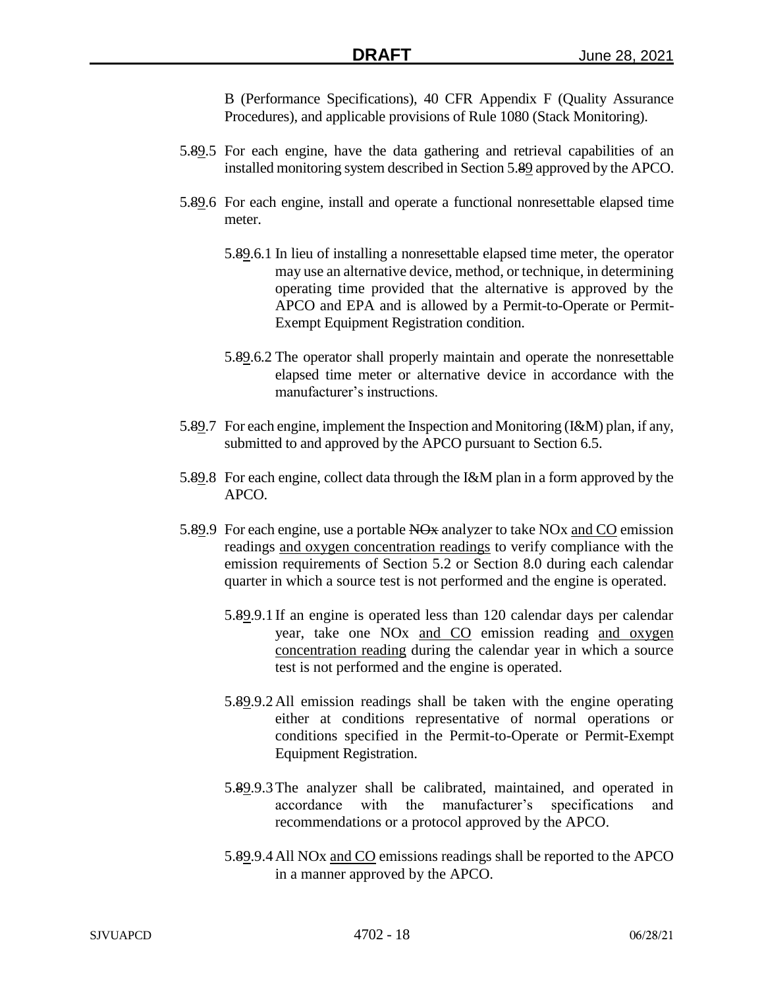B (Performance Specifications), 40 CFR Appendix F (Quality Assurance Procedures), and applicable provisions of Rule 1080 (Stack Monitoring).

- 5.89.5 For each engine, have the data gathering and retrieval capabilities of an installed monitoring system described in Section 5.89 approved by the APCO.
- 5.89.6 For each engine, install and operate a functional nonresettable elapsed time meter.
	- 5.89.6.1 In lieu of installing a nonresettable elapsed time meter, the operator may use an alternative device, method, or technique, in determining operating time provided that the alternative is approved by the APCO and EPA and is allowed by a Permit-to-Operate or Permit-Exempt Equipment Registration condition.
	- 5.89.6.2 The operator shall properly maintain and operate the nonresettable elapsed time meter or alternative device in accordance with the manufacturer's instructions.
- 5.89.7 For each engine, implement the Inspection and Monitoring (I&M) plan, if any, submitted to and approved by the APCO pursuant to Section 6.5.
- 5.89.8 For each engine, collect data through the I&M plan in a form approved by the APCO.
- 5.89.9 For each engine, use a portable NO<sub>x</sub> analyzer to take NO<sub>x</sub> and CO emission readings and oxygen concentration readings to verify compliance with the emission requirements of Section 5.2 or Section 8.0 during each calendar quarter in which a source test is not performed and the engine is operated.
	- 5.89.9.1 If an engine is operated less than 120 calendar days per calendar year, take one NOx and CO emission reading and oxygen concentration reading during the calendar year in which a source test is not performed and the engine is operated.
	- 5.89.9.2All emission readings shall be taken with the engine operating either at conditions representative of normal operations or conditions specified in the Permit-to-Operate or Permit-Exempt Equipment Registration.
	- 5.89.9.3The analyzer shall be calibrated, maintained, and operated in accordance with the manufacturer's specifications and recommendations or a protocol approved by the APCO.
	- 5.89.9.4All NOx and CO emissions readings shall be reported to the APCO in a manner approved by the APCO.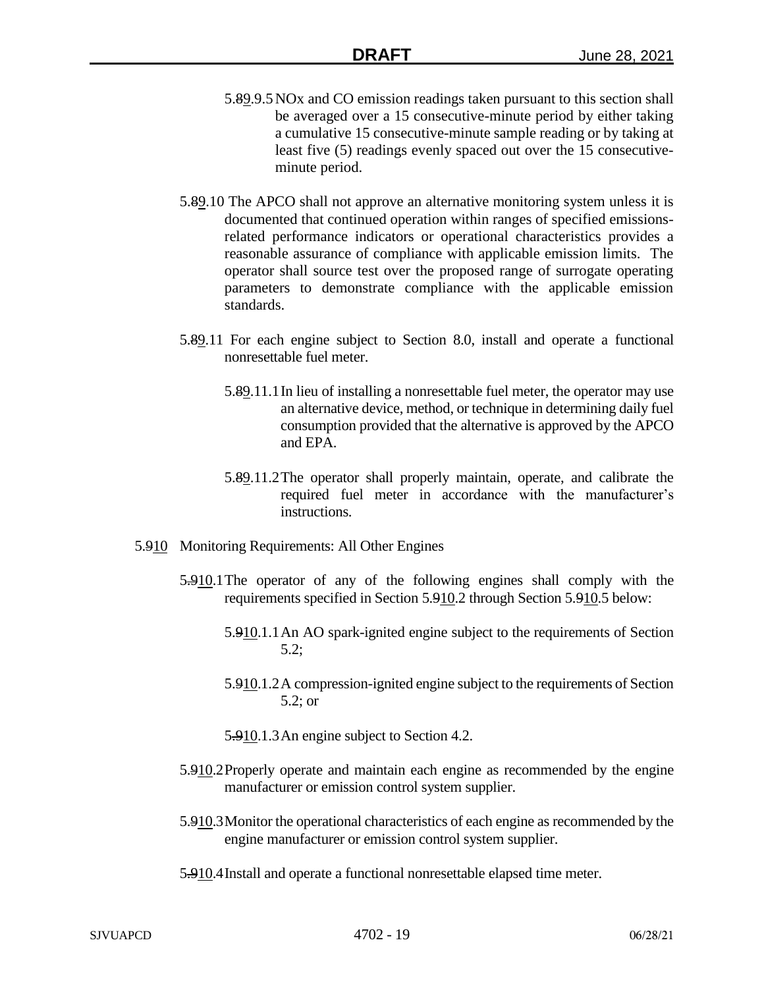- 5.89.9.5NOx and CO emission readings taken pursuant to this section shall be averaged over a 15 consecutive-minute period by either taking a cumulative 15 consecutive-minute sample reading or by taking at least five (5) readings evenly spaced out over the 15 consecutiveminute period.
- 5.89.10 The APCO shall not approve an alternative monitoring system unless it is documented that continued operation within ranges of specified emissionsrelated performance indicators or operational characteristics provides a reasonable assurance of compliance with applicable emission limits. The operator shall source test over the proposed range of surrogate operating parameters to demonstrate compliance with the applicable emission standards.
- 5.89.11 For each engine subject to Section 8.0, install and operate a functional nonresettable fuel meter.
	- 5.89.11.1In lieu of installing a nonresettable fuel meter, the operator may use an alternative device, method, or technique in determining daily fuel consumption provided that the alternative is approved by the APCO and EPA.
	- 5.89.11.2The operator shall properly maintain, operate, and calibrate the required fuel meter in accordance with the manufacturer's instructions.
- 5.910 Monitoring Requirements: All Other Engines
	- 5.910.1The operator of any of the following engines shall comply with the requirements specified in Section 5.910.2 through Section 5.910.5 below:
		- 5.910.1.1An AO spark-ignited engine subject to the requirements of Section 5.2;
		- 5.910.1.2A compression-ignited engine subject to the requirements of Section 5.2; or
		- 5.910.1.3An engine subject to Section 4.2.
	- 5.910.2Properly operate and maintain each engine as recommended by the engine manufacturer or emission control system supplier.
	- 5.910.3Monitor the operational characteristics of each engine as recommended by the engine manufacturer or emission control system supplier.
	- 5.910.4Install and operate a functional nonresettable elapsed time meter.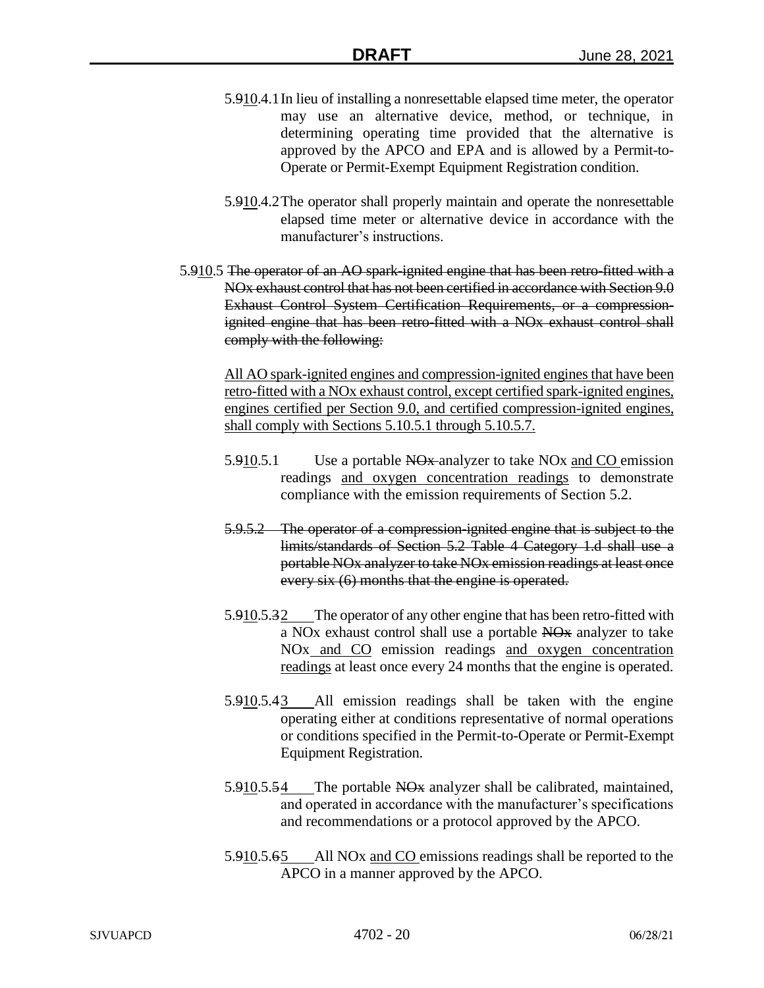- 5.910.4.1In lieu of installing a nonresettable elapsed time meter, the operator may use an alternative device, method, or technique, in determining operating time provided that the alternative is approved by the APCO and EPA and is allowed by a Permit-to-Operate or Permit-Exempt Equipment Registration condition.
- 5.910.4.2The operator shall properly maintain and operate the nonresettable elapsed time meter or alternative device in accordance with the manufacturer's instructions.
- 5.910.5 The operator of an AO spark-ignited engine that has been retro-fitted with a NOx exhaust control that has not been certified in accordance with Section 9.0 Exhaust Control System Certification Requirements, or a compressionignited engine that has been retro-fitted with a NOx exhaust control shall comply with the following:

All AO spark-ignited engines and compression-ignited engines that have been retro-fitted with a NOx exhaust control, except certified spark-ignited engines, engines certified per Section 9.0, and certified compression-ignited engines, shall comply with Sections 5.10.5.1 through 5.10.5.7.

- 5.910.5.1 Use a portable NO<sub>x</sub> analyzer to take NO<sub>x</sub> and CO emission readings and oxygen concentration readings to demonstrate compliance with the emission requirements of Section 5.2.
- 5.9.5.2 The operator of a compression-ignited engine that is subject to the limits/standards of Section 5.2 Table 4 Category 1.d shall use a portable NOx analyzer to take NOx emission readings at least once every six (6) months that the engine is operated.
- 5.910.5.32 The operator of any other engine that has been retro-fitted with a NOx exhaust control shall use a portable NOx analyzer to take NO<sub>x</sub> and C<sub>O</sub> emission readings and oxygen concentration readings at least once every 24 months that the engine is operated.
- 5.910.5.43 All emission readings shall be taken with the engine operating either at conditions representative of normal operations or conditions specified in the Permit-to-Operate or Permit-Exempt Equipment Registration.
- 5.910.5.54 The portable NO<sub>x</sub> analyzer shall be calibrated, maintained, and operated in accordance with the manufacturer's specifications and recommendations or a protocol approved by the APCO.
- 5.910.5.65 All NOx and CO emissions readings shall be reported to the APCO in a manner approved by the APCO.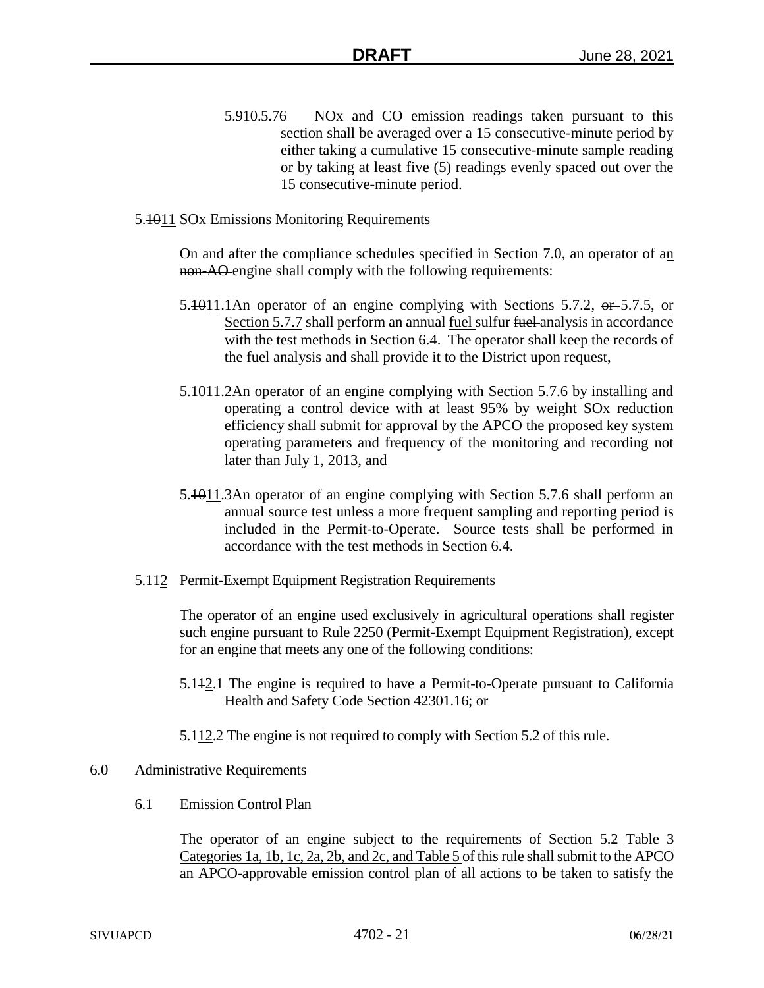- 5.910.5.76 NOx and CO emission readings taken pursuant to this section shall be averaged over a 15 consecutive-minute period by either taking a cumulative 15 consecutive-minute sample reading or by taking at least five (5) readings evenly spaced out over the 15 consecutive-minute period.
- 5.1011 SOx Emissions Monitoring Requirements

On and after the compliance schedules specified in Section 7.0, an operator of an non-AO engine shall comply with the following requirements:

- 5.4011.1An operator of an engine complying with Sections 5.7.2,  $\theta$  = 5.7.5, or Section 5.7.7 shall perform an annual fuel sulfur fuel analysis in accordance with the test methods in Section 6.4. The operator shall keep the records of the fuel analysis and shall provide it to the District upon request,
- 5.1011.2An operator of an engine complying with Section 5.7.6 by installing and operating a control device with at least 95% by weight SOx reduction efficiency shall submit for approval by the APCO the proposed key system operating parameters and frequency of the monitoring and recording not later than July 1, 2013, and
- 5.1011.3An operator of an engine complying with Section 5.7.6 shall perform an annual source test unless a more frequent sampling and reporting period is included in the Permit-to-Operate. Source tests shall be performed in accordance with the test methods in Section 6.4.
- 5.142 Permit-Exempt Equipment Registration Requirements

The operator of an engine used exclusively in agricultural operations shall register such engine pursuant to Rule 2250 (Permit-Exempt Equipment Registration), except for an engine that meets any one of the following conditions:

- 5.112.1 The engine is required to have a Permit-to-Operate pursuant to California Health and Safety Code Section 42301.16; or
- 5.112.2 The engine is not required to comply with Section 5.2 of this rule.
- 6.0 Administrative Requirements
	- 6.1 Emission Control Plan

The operator of an engine subject to the requirements of Section 5.2 Table 3 Categories 1a, 1b, 1c, 2a, 2b, and 2c, and Table 5 of this rule shall submit to the APCO an APCO-approvable emission control plan of all actions to be taken to satisfy the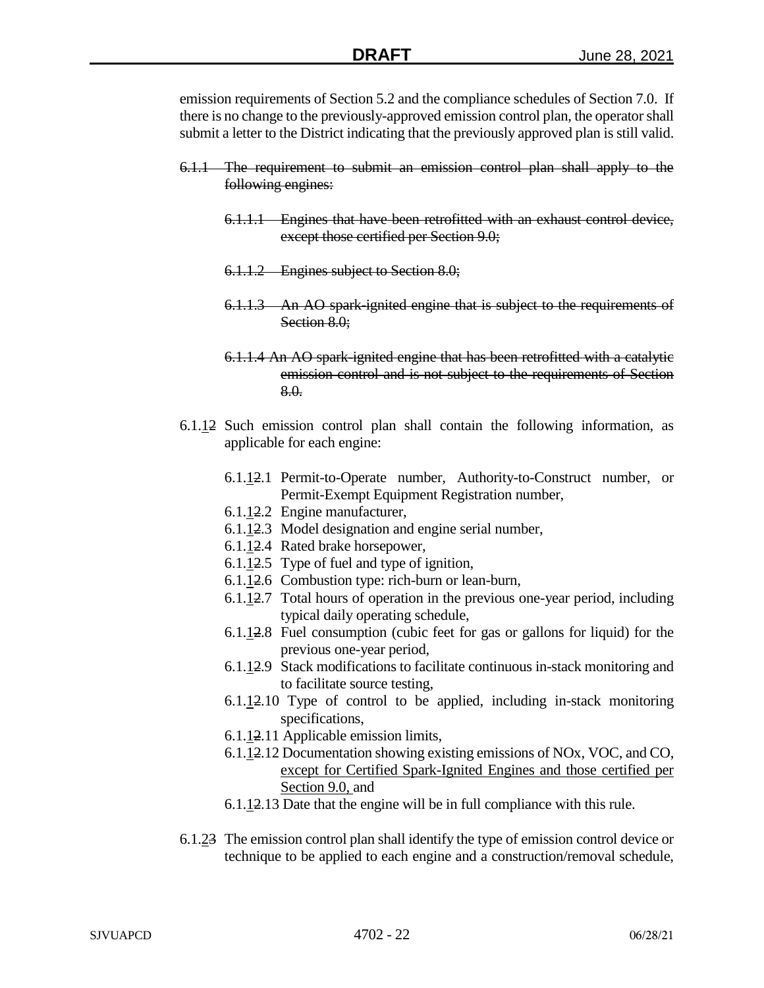emission requirements of Section 5.2 and the compliance schedules of Section 7.0. If there is no change to the previously-approved emission control plan, the operator shall submit a letter to the District indicating that the previously approved plan is still valid.

- 6.1.1 The requirement to submit an emission control plan shall apply to the following engines:
	- 6.1.1.1 Engines that have been retrofitted with an exhaust control device, except those certified per Section 9.0;
	- 6.1.1.2 Engines subject to Section 8.0;
	- 6.1.1.3 An AO spark-ignited engine that is subject to the requirements of Section 8.0:
	- 6.1.1.4 An AO spark-ignited engine that has been retrofitted with a catalytic emission control and is not subject to the requirements of Section 8.0.
- 6.1.12 Such emission control plan shall contain the following information, as applicable for each engine:
	- 6.1.12.1 Permit-to-Operate number, Authority-to-Construct number, or Permit-Exempt Equipment Registration number,
	- 6.1.12.2 Engine manufacturer,
	- 6.1.12.3 Model designation and engine serial number,
	- 6.1.12.4 Rated brake horsepower,
	- 6.1.12.5 Type of fuel and type of ignition,
	- 6.1.12.6 Combustion type: rich-burn or lean-burn,
	- 6.1.12.7 Total hours of operation in the previous one-year period, including typical daily operating schedule,
	- 6.1.12.8 Fuel consumption (cubic feet for gas or gallons for liquid) for the previous one-year period,
	- 6.1.12.9 Stack modifications to facilitate continuous in-stack monitoring and to facilitate source testing,
	- 6.1.12.10 Type of control to be applied, including in-stack monitoring specifications,
	- 6.1.12.11 Applicable emission limits,
	- 6.1.12.12 Documentation showing existing emissions of NOx, VOC, and CO, except for Certified Spark-Ignited Engines and those certified per Section 9.0, and
	- 6.1.12.13 Date that the engine will be in full compliance with this rule.
- 6.1.23 The emission control plan shall identify the type of emission control device or technique to be applied to each engine and a construction/removal schedule,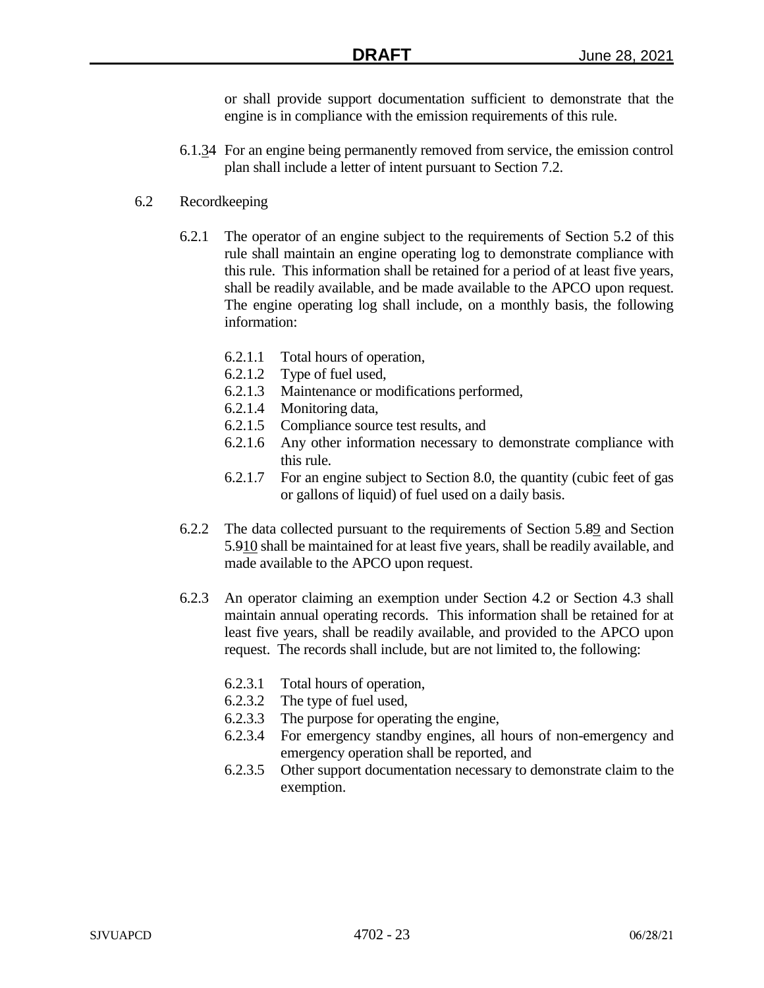or shall provide support documentation sufficient to demonstrate that the engine is in compliance with the emission requirements of this rule.

6.1.34 For an engine being permanently removed from service, the emission control plan shall include a letter of intent pursuant to Section 7.2.

## 6.2 Recordkeeping

- 6.2.1 The operator of an engine subject to the requirements of Section 5.2 of this rule shall maintain an engine operating log to demonstrate compliance with this rule. This information shall be retained for a period of at least five years, shall be readily available, and be made available to the APCO upon request. The engine operating log shall include, on a monthly basis, the following information:
	- 6.2.1.1 Total hours of operation,
	- 6.2.1.2 Type of fuel used,
	- 6.2.1.3 Maintenance or modifications performed,
	- 6.2.1.4 Monitoring data,
	- 6.2.1.5 Compliance source test results, and
	- 6.2.1.6 Any other information necessary to demonstrate compliance with this rule.
	- 6.2.1.7 For an engine subject to Section 8.0, the quantity (cubic feet of gas or gallons of liquid) of fuel used on a daily basis.
- 6.2.2 The data collected pursuant to the requirements of Section 5.89 and Section 5.910 shall be maintained for at least five years, shall be readily available, and made available to the APCO upon request.
- 6.2.3 An operator claiming an exemption under Section 4.2 or Section 4.3 shall maintain annual operating records. This information shall be retained for at least five years, shall be readily available, and provided to the APCO upon request. The records shall include, but are not limited to, the following:
	- 6.2.3.1 Total hours of operation,
	- 6.2.3.2 The type of fuel used,
	- 6.2.3.3 The purpose for operating the engine,
	- 6.2.3.4 For emergency standby engines, all hours of non-emergency and emergency operation shall be reported, and
	- 6.2.3.5 Other support documentation necessary to demonstrate claim to the exemption.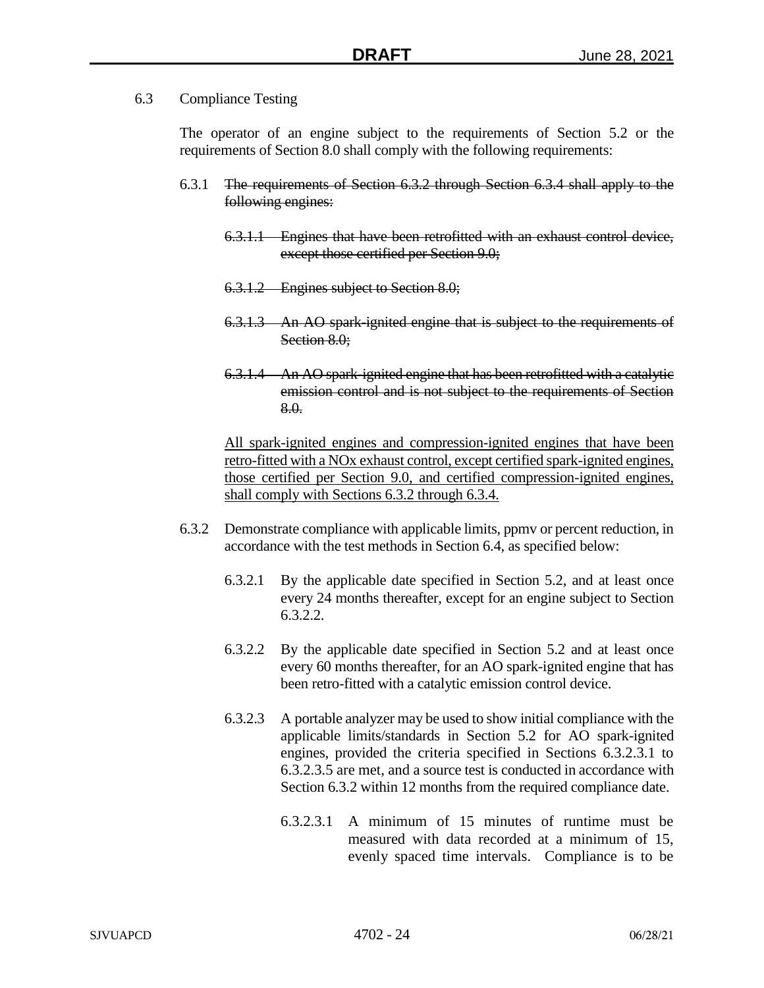6.3 Compliance Testing

The operator of an engine subject to the requirements of Section 5.2 or the requirements of Section 8.0 shall comply with the following requirements:

- 6.3.1 The requirements of Section 6.3.2 through Section 6.3.4 shall apply to the following engines:
	- 6.3.1.1 Engines that have been retrofitted with an exhaust control device, except those certified per Section 9.0;
	- 6.3.1.2 Engines subject to Section 8.0;
	- 6.3.1.3 An AO spark-ignited engine that is subject to the requirements of Section 8.0:
	- 6.3.1.4 An AO spark-ignited engine that has been retrofitted with a catalytic emission control and is not subject to the requirements of Section 8.0.

All spark-ignited engines and compression-ignited engines that have been retro-fitted with a NOx exhaust control, except certified spark-ignited engines, those certified per Section 9.0, and certified compression-ignited engines, shall comply with Sections 6.3.2 through 6.3.4.

- 6.3.2 Demonstrate compliance with applicable limits, ppmv or percent reduction, in accordance with the test methods in Section 6.4, as specified below:
	- 6.3.2.1 By the applicable date specified in Section 5.2, and at least once every 24 months thereafter, except for an engine subject to Section 6.3.2.2.
	- 6.3.2.2 By the applicable date specified in Section 5.2 and at least once every 60 months thereafter, for an AO spark-ignited engine that has been retro-fitted with a catalytic emission control device.
	- 6.3.2.3 A portable analyzer may be used to show initial compliance with the applicable limits/standards in Section 5.2 for AO spark-ignited engines, provided the criteria specified in Sections 6.3.2.3.1 to 6.3.2.3.5 are met, and a source test is conducted in accordance with Section 6.3.2 within 12 months from the required compliance date.
		- 6.3.2.3.1 A minimum of 15 minutes of runtime must be measured with data recorded at a minimum of 15, evenly spaced time intervals. Compliance is to be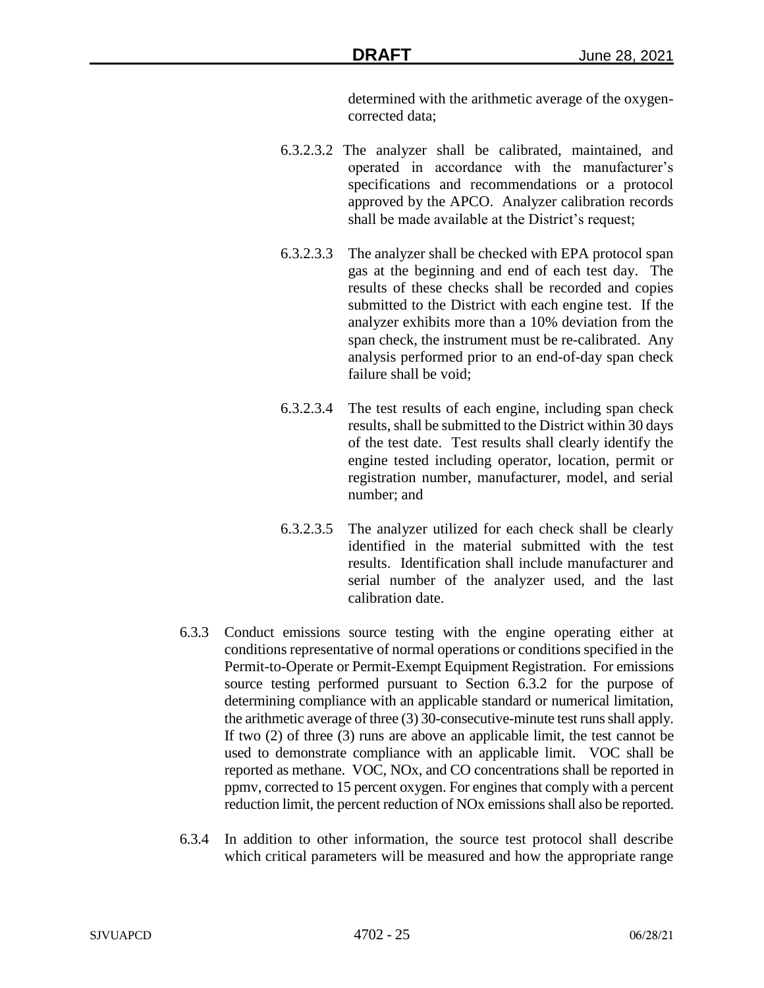determined with the arithmetic average of the oxygencorrected data;

- 6.3.2.3.2 The analyzer shall be calibrated, maintained, and operated in accordance with the manufacturer's specifications and recommendations or a protocol approved by the APCO. Analyzer calibration records shall be made available at the District's request;
- 6.3.2.3.3 The analyzer shall be checked with EPA protocol span gas at the beginning and end of each test day. The results of these checks shall be recorded and copies submitted to the District with each engine test. If the analyzer exhibits more than a 10% deviation from the span check, the instrument must be re-calibrated. Any analysis performed prior to an end-of-day span check failure shall be void;
- 6.3.2.3.4 The test results of each engine, including span check results, shall be submitted to the District within 30 days of the test date. Test results shall clearly identify the engine tested including operator, location, permit or registration number, manufacturer, model, and serial number; and
- 6.3.2.3.5 The analyzer utilized for each check shall be clearly identified in the material submitted with the test results. Identification shall include manufacturer and serial number of the analyzer used, and the last calibration date.
- 6.3.3 Conduct emissions source testing with the engine operating either at conditions representative of normal operations or conditions specified in the Permit-to-Operate or Permit-Exempt Equipment Registration. For emissions source testing performed pursuant to Section 6.3.2 for the purpose of determining compliance with an applicable standard or numerical limitation, the arithmetic average of three (3) 30-consecutive-minute test runs shall apply. If two (2) of three (3) runs are above an applicable limit, the test cannot be used to demonstrate compliance with an applicable limit. VOC shall be reported as methane. VOC, NOx, and CO concentrations shall be reported in ppmv, corrected to 15 percent oxygen. For engines that comply with a percent reduction limit, the percent reduction of NOx emissions shall also be reported.
- 6.3.4 In addition to other information, the source test protocol shall describe which critical parameters will be measured and how the appropriate range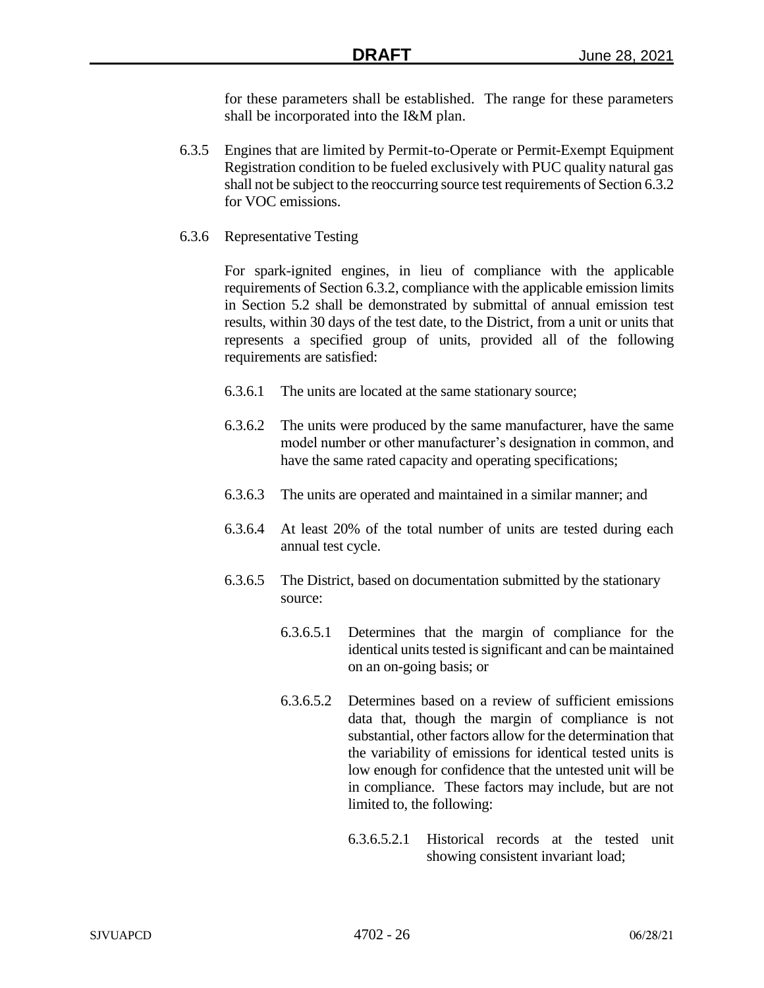for these parameters shall be established. The range for these parameters shall be incorporated into the I&M plan.

- 6.3.5 Engines that are limited by Permit-to-Operate or Permit-Exempt Equipment Registration condition to be fueled exclusively with PUC quality natural gas shall not be subject to the reoccurring source test requirements of Section 6.3.2 for VOC emissions.
- 6.3.6 Representative Testing

For spark-ignited engines, in lieu of compliance with the applicable requirements of Section 6.3.2, compliance with the applicable emission limits in Section 5.2 shall be demonstrated by submittal of annual emission test results, within 30 days of the test date, to the District, from a unit or units that represents a specified group of units, provided all of the following requirements are satisfied:

- 6.3.6.1 The units are located at the same stationary source;
- 6.3.6.2 The units were produced by the same manufacturer, have the same model number or other manufacturer's designation in common, and have the same rated capacity and operating specifications;
- 6.3.6.3 The units are operated and maintained in a similar manner; and
- 6.3.6.4 At least 20% of the total number of units are tested during each annual test cycle.
- 6.3.6.5 The District, based on documentation submitted by the stationary source:
	- 6.3.6.5.1 Determines that the margin of compliance for the identical units tested is significant and can be maintained on an on-going basis; or
	- 6.3.6.5.2 Determines based on a review of sufficient emissions data that, though the margin of compliance is not substantial, other factors allow for the determination that the variability of emissions for identical tested units is low enough for confidence that the untested unit will be in compliance. These factors may include, but are not limited to, the following:
		- 6.3.6.5.2.1 Historical records at the tested unit showing consistent invariant load;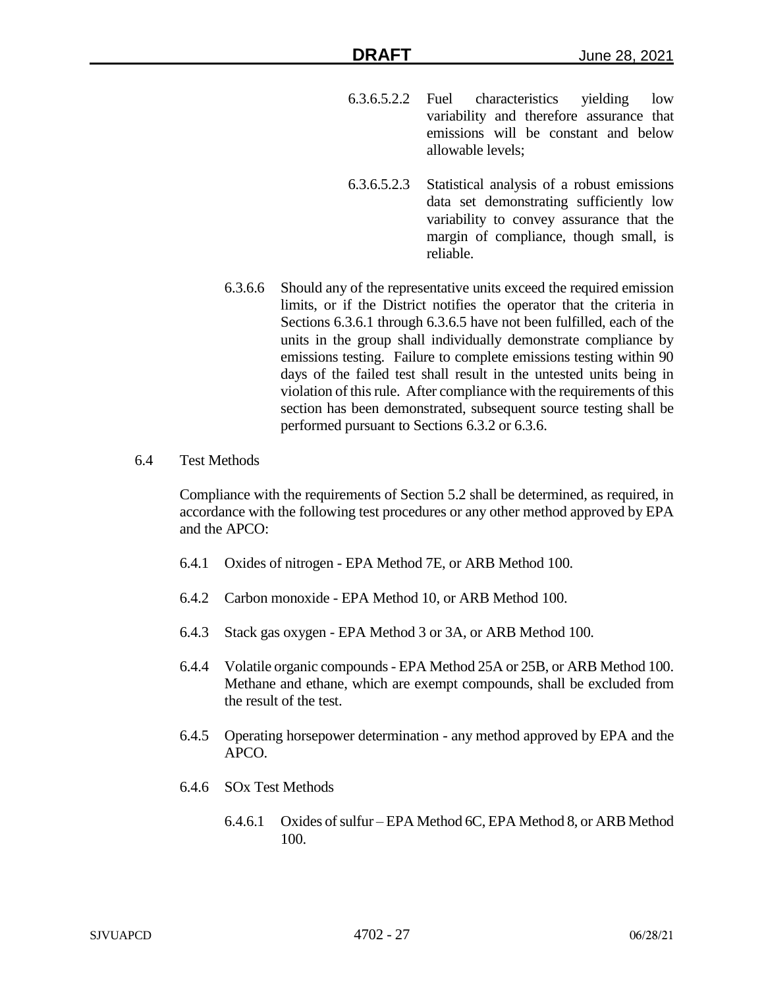- 6.3.6.5.2.2 Fuel characteristics yielding low variability and therefore assurance that emissions will be constant and below allowable levels;
- 6.3.6.5.2.3 Statistical analysis of a robust emissions data set demonstrating sufficiently low variability to convey assurance that the margin of compliance, though small, is reliable.
- 6.3.6.6 Should any of the representative units exceed the required emission limits, or if the District notifies the operator that the criteria in Sections 6.3.6.1 through 6.3.6.5 have not been fulfilled, each of the units in the group shall individually demonstrate compliance by emissions testing. Failure to complete emissions testing within 90 days of the failed test shall result in the untested units being in violation of this rule. After compliance with the requirements of this section has been demonstrated, subsequent source testing shall be performed pursuant to Sections 6.3.2 or 6.3.6.
- 6.4 Test Methods

Compliance with the requirements of Section 5.2 shall be determined, as required, in accordance with the following test procedures or any other method approved by EPA and the APCO:

- 6.4.1 Oxides of nitrogen EPA Method 7E, or ARB Method 100.
- 6.4.2 Carbon monoxide EPA Method 10, or ARB Method 100.
- 6.4.3 Stack gas oxygen EPA Method 3 or 3A, or ARB Method 100.
- 6.4.4 Volatile organic compounds EPA Method 25A or 25B, or ARB Method 100. Methane and ethane, which are exempt compounds, shall be excluded from the result of the test.
- 6.4.5 Operating horsepower determination any method approved by EPA and the APCO.
- 6.4.6 SOx Test Methods
	- 6.4.6.1 Oxides of sulfur EPA Method 6C, EPA Method 8, or ARB Method 100.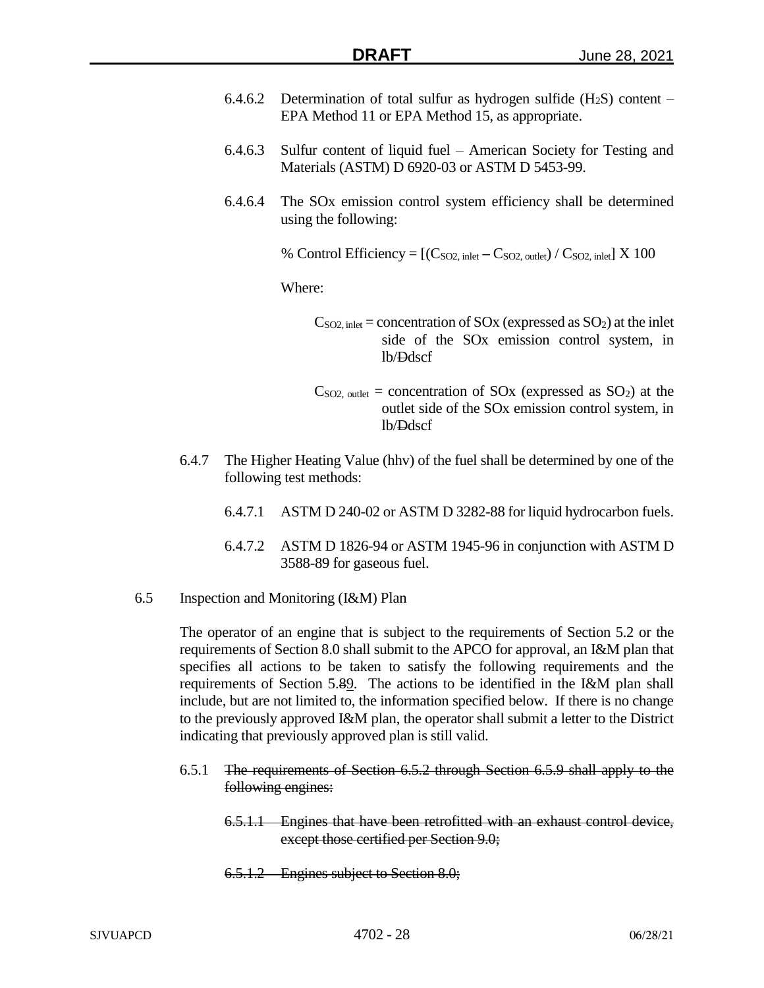- 6.4.6.2 Determination of total sulfur as hydrogen sulfide  $(H_2S)$  content EPA Method 11 or EPA Method 15, as appropriate.
- 6.4.6.3 Sulfur content of liquid fuel American Society for Testing and Materials (ASTM) D 6920-03 or ASTM D 5453-99.
- 6.4.6.4 The SOx emission control system efficiency shall be determined using the following:

% Control Efficiency  $= [(C_{SO2, \text{ inlet}} - C_{SO2, \text{ outlet}}) / C_{SO2, \text{ inlet}}] \times 100$ 

Where:

 $C<sub>SO2</sub>$ , inlet = concentration of SOx (expressed as SO<sub>2</sub>) at the inlet side of the SOx emission control system, in lb/Ddscf

- $C<sub>SO2</sub>$ , outlet = concentration of  $SO<sub>X</sub>$  (expressed as  $SO<sub>2</sub>$ ) at the outlet side of the SOx emission control system, in lb/Ddscf
- 6.4.7 The Higher Heating Value (hhv) of the fuel shall be determined by one of the following test methods:
	- 6.4.7.1 ASTM D 240-02 or ASTM D 3282-88 for liquid hydrocarbon fuels.
	- 6.4.7.2 ASTM D 1826-94 or ASTM 1945-96 in conjunction with ASTM D 3588-89 for gaseous fuel.
- 6.5 Inspection and Monitoring (I&M) Plan

The operator of an engine that is subject to the requirements of Section 5.2 or the requirements of Section 8.0 shall submit to the APCO for approval, an I&M plan that specifies all actions to be taken to satisfy the following requirements and the requirements of Section 5.89. The actions to be identified in the I&M plan shall include, but are not limited to, the information specified below. If there is no change to the previously approved I&M plan, the operator shall submit a letter to the District indicating that previously approved plan is still valid.

- 6.5.1 The requirements of Section 6.5.2 through Section 6.5.9 shall apply to the following engines:
	- 6.5.1.1 Engines that have been retrofitted with an exhaust control device, except those certified per Section 9.0;
	- 6.5.1.2 Engines subject to Section 8.0;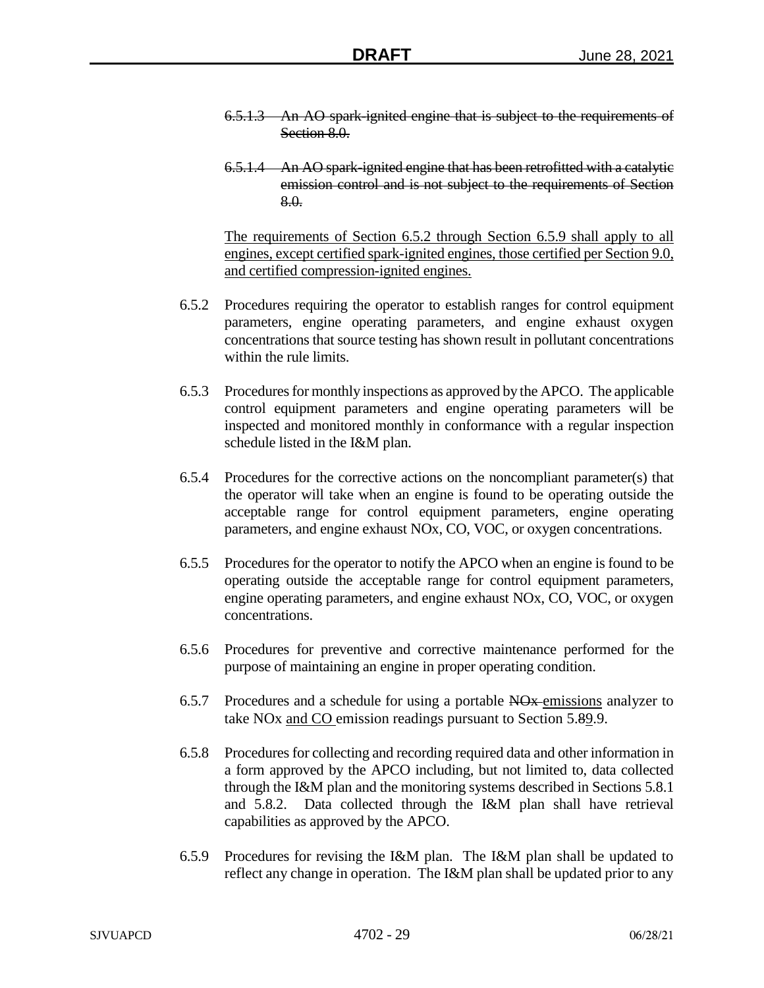- 6.5.1.3 An AO spark-ignited engine that is subject to the requirements of Section 8.0.
- 6.5.1.4 An AO spark-ignited engine that has been retrofitted with a catalytic emission control and is not subject to the requirements of Section 8.0.

The requirements of Section 6.5.2 through Section 6.5.9 shall apply to all engines, except certified spark-ignited engines, those certified per Section 9.0, and certified compression-ignited engines.

- 6.5.2 Procedures requiring the operator to establish ranges for control equipment parameters, engine operating parameters, and engine exhaust oxygen concentrations that source testing has shown result in pollutant concentrations within the rule limits.
- 6.5.3 Procedures for monthly inspections as approved by the APCO. The applicable control equipment parameters and engine operating parameters will be inspected and monitored monthly in conformance with a regular inspection schedule listed in the I&M plan.
- 6.5.4 Procedures for the corrective actions on the noncompliant parameter(s) that the operator will take when an engine is found to be operating outside the acceptable range for control equipment parameters, engine operating parameters, and engine exhaust NOx, CO, VOC, or oxygen concentrations.
- 6.5.5 Procedures for the operator to notify the APCO when an engine is found to be operating outside the acceptable range for control equipment parameters, engine operating parameters, and engine exhaust NOx, CO, VOC, or oxygen concentrations.
- 6.5.6 Procedures for preventive and corrective maintenance performed for the purpose of maintaining an engine in proper operating condition.
- 6.5.7 Procedures and a schedule for using a portable NOx emissions analyzer to take NO<sub>x</sub> and CO emission readings pursuant to Section 5.89.9.
- 6.5.8 Procedures for collecting and recording required data and other information in a form approved by the APCO including, but not limited to, data collected through the I&M plan and the monitoring systems described in Sections 5.8.1 and 5.8.2. Data collected through the I&M plan shall have retrieval capabilities as approved by the APCO.
- 6.5.9 Procedures for revising the I&M plan. The I&M plan shall be updated to reflect any change in operation. The I&M plan shall be updated prior to any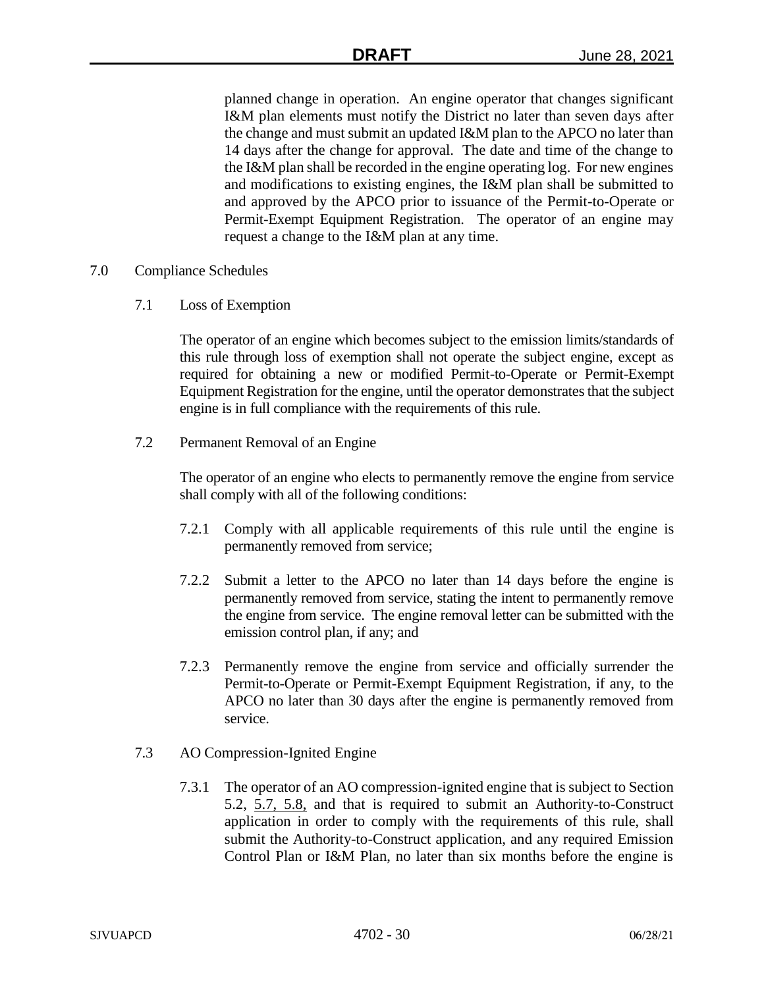planned change in operation. An engine operator that changes significant I&M plan elements must notify the District no later than seven days after the change and must submit an updated I&M plan to the APCO no later than 14 days after the change for approval. The date and time of the change to the I&M plan shall be recorded in the engine operating log. For new engines and modifications to existing engines, the I&M plan shall be submitted to and approved by the APCO prior to issuance of the Permit-to-Operate or Permit-Exempt Equipment Registration. The operator of an engine may request a change to the I&M plan at any time.

- 7.0 Compliance Schedules
	- 7.1 Loss of Exemption

The operator of an engine which becomes subject to the emission limits/standards of this rule through loss of exemption shall not operate the subject engine, except as required for obtaining a new or modified Permit-to-Operate or Permit-Exempt Equipment Registration for the engine, until the operator demonstrates that the subject engine is in full compliance with the requirements of this rule.

7.2 Permanent Removal of an Engine

The operator of an engine who elects to permanently remove the engine from service shall comply with all of the following conditions:

- 7.2.1 Comply with all applicable requirements of this rule until the engine is permanently removed from service;
- 7.2.2 Submit a letter to the APCO no later than 14 days before the engine is permanently removed from service, stating the intent to permanently remove the engine from service. The engine removal letter can be submitted with the emission control plan, if any; and
- 7.2.3 Permanently remove the engine from service and officially surrender the Permit-to-Operate or Permit-Exempt Equipment Registration, if any, to the APCO no later than 30 days after the engine is permanently removed from service.
- 7.3 AO Compression-Ignited Engine
	- 7.3.1 The operator of an AO compression-ignited engine that is subject to Section 5.2, 5.7, 5.8, and that is required to submit an Authority-to-Construct application in order to comply with the requirements of this rule, shall submit the Authority-to-Construct application, and any required Emission Control Plan or I&M Plan, no later than six months before the engine is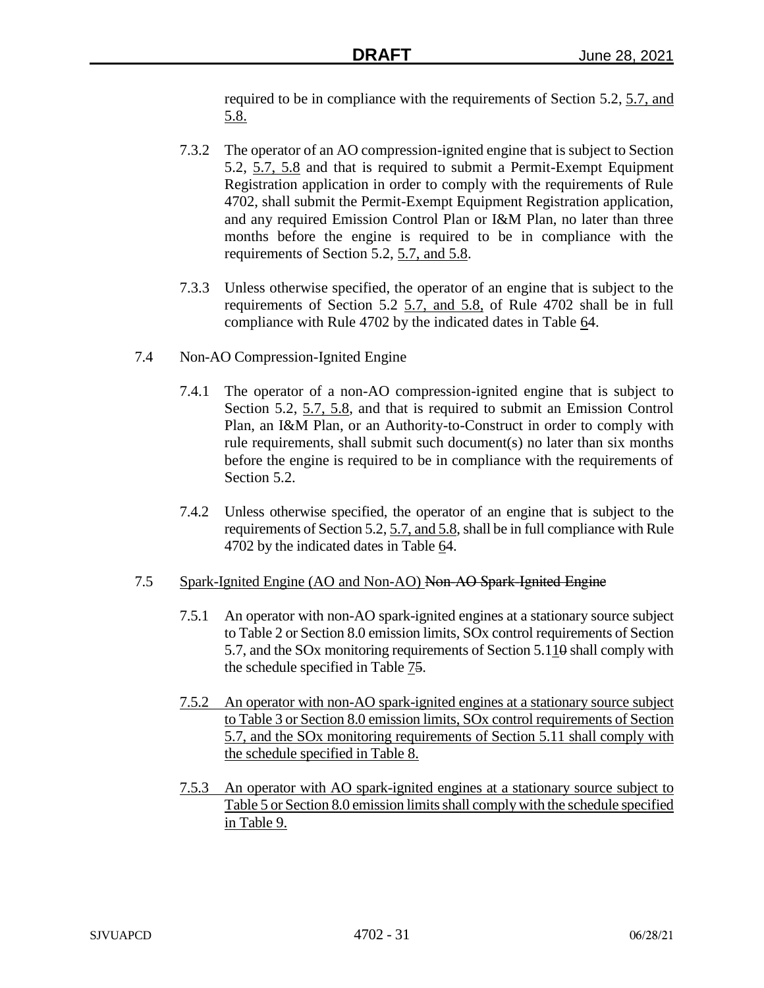required to be in compliance with the requirements of Section 5.2, 5.7, and 5.8.

- 7.3.2 The operator of an AO compression-ignited engine that is subject to Section 5.2, 5.7, 5.8 and that is required to submit a Permit-Exempt Equipment Registration application in order to comply with the requirements of Rule 4702, shall submit the Permit-Exempt Equipment Registration application, and any required Emission Control Plan or I&M Plan, no later than three months before the engine is required to be in compliance with the requirements of Section 5.2, 5.7, and 5.8.
- 7.3.3 Unless otherwise specified, the operator of an engine that is subject to the requirements of Section 5.2 5.7, and 5.8, of Rule 4702 shall be in full compliance with Rule 4702 by the indicated dates in Table 64.
- 7.4 Non-AO Compression-Ignited Engine
	- 7.4.1 The operator of a non-AO compression-ignited engine that is subject to Section 5.2, 5.7, 5.8, and that is required to submit an Emission Control Plan, an I&M Plan, or an Authority-to-Construct in order to comply with rule requirements, shall submit such document(s) no later than six months before the engine is required to be in compliance with the requirements of Section 5.2.
	- 7.4.2 Unless otherwise specified, the operator of an engine that is subject to the requirements of Section 5.2, 5.7, and 5.8, shall be in full compliance with Rule 4702 by the indicated dates in Table 64.

# 7.5 Spark-Ignited Engine (AO and Non-AO) Non-AO Spark-Ignited Engine

- 7.5.1 An operator with non-AO spark-ignited engines at a stationary source subject to Table 2 or Section 8.0 emission limits, SOx control requirements of Section 5.7, and the SOx monitoring requirements of Section 5.110 shall comply with the schedule specified in Table 75.
- 7.5.2 An operator with non-AO spark-ignited engines at a stationary source subject to Table 3 or Section 8.0 emission limits, SOx control requirements of Section 5.7, and the SOx monitoring requirements of Section 5.11 shall comply with the schedule specified in Table 8.
- 7.5.3 An operator with AO spark-ignited engines at a stationary source subject to Table 5 or Section 8.0 emission limits shall comply with the schedule specified in Table 9.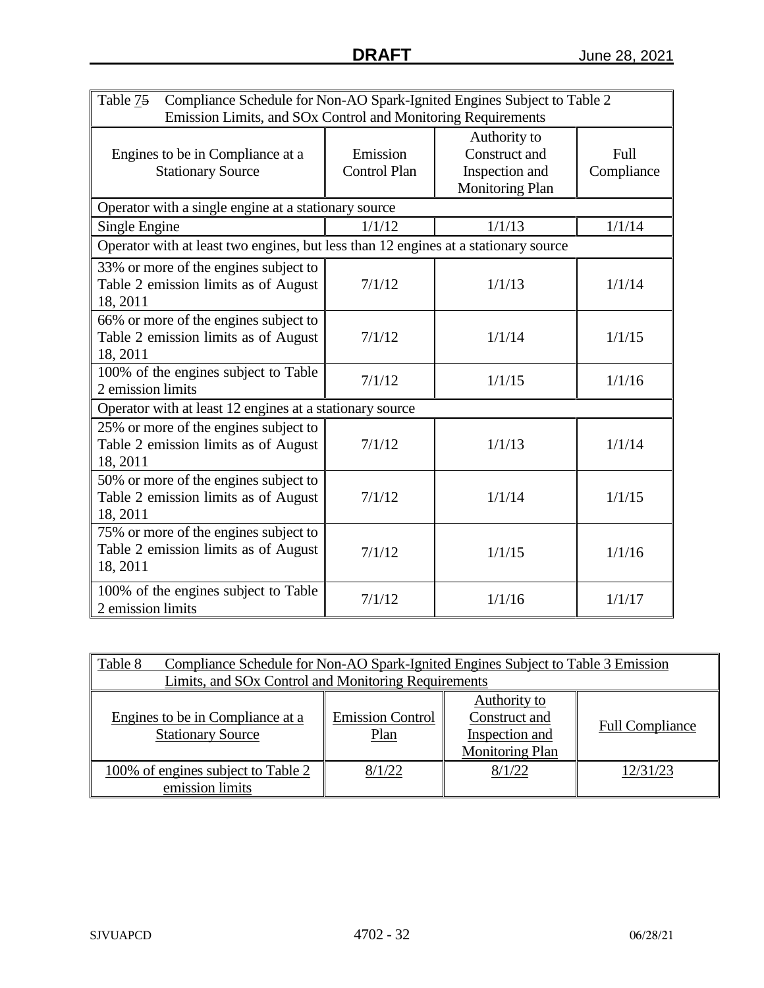| Table 75<br>Compliance Schedule for Non-AO Spark-Ignited Engines Subject to Table 2<br>Emission Limits, and SOx Control and Monitoring Requirements |                                 |                                                                           |                    |  |
|-----------------------------------------------------------------------------------------------------------------------------------------------------|---------------------------------|---------------------------------------------------------------------------|--------------------|--|
| Engines to be in Compliance at a<br><b>Stationary Source</b>                                                                                        | Emission<br><b>Control Plan</b> | Authority to<br>Construct and<br>Inspection and<br><b>Monitoring Plan</b> | Full<br>Compliance |  |
| Operator with a single engine at a stationary source                                                                                                |                                 |                                                                           |                    |  |
| Single Engine                                                                                                                                       | 1/1/12                          | 1/1/13                                                                    | 1/1/14             |  |
| Operator with at least two engines, but less than 12 engines at a stationary source                                                                 |                                 |                                                                           |                    |  |
| 33% or more of the engines subject to<br>Table 2 emission limits as of August<br>18, 2011                                                           | 7/1/12                          | 1/1/13                                                                    | 1/1/14             |  |
| 66% or more of the engines subject to<br>Table 2 emission limits as of August<br>18, 2011                                                           | 7/1/12                          | 1/1/14                                                                    | 1/1/15             |  |
| 100% of the engines subject to Table<br>2 emission limits                                                                                           | 7/1/12                          | 1/1/15                                                                    | 1/1/16             |  |
| Operator with at least 12 engines at a stationary source                                                                                            |                                 |                                                                           |                    |  |
| 25% or more of the engines subject to<br>Table 2 emission limits as of August<br>18, 2011                                                           | 7/1/12                          | 1/1/13                                                                    | 1/1/14             |  |
| 50% or more of the engines subject to<br>Table 2 emission limits as of August<br>18, 2011                                                           | 7/1/12                          | 1/1/14                                                                    | 1/1/15             |  |
| 75% or more of the engines subject to<br>Table 2 emission limits as of August<br>18, 2011                                                           | 7/1/12                          | 1/1/15                                                                    | 1/1/16             |  |
| 100% of the engines subject to Table<br>2 emission limits                                                                                           | 7/1/12                          | 1/1/16                                                                    | 1/1/17             |  |

| Table 8<br>Compliance Schedule for Non-AO Spark-Ignited Engines Subject to Table 3 Emission<br>Limits, and SOx Control and Monitoring Requirements                                                     |        |        |          |  |
|--------------------------------------------------------------------------------------------------------------------------------------------------------------------------------------------------------|--------|--------|----------|--|
|                                                                                                                                                                                                        |        |        |          |  |
| Authority to<br><b>Emission Control</b><br>Construct and<br>Engines to be in Compliance at a<br><b>Full Compliance</b><br><b>Stationary Source</b><br>Inspection and<br>Plan<br><b>Monitoring Plan</b> |        |        |          |  |
| 100% of engines subject to Table 2<br>emission limits                                                                                                                                                  | 8/1/22 | 8/1/22 | 12/31/23 |  |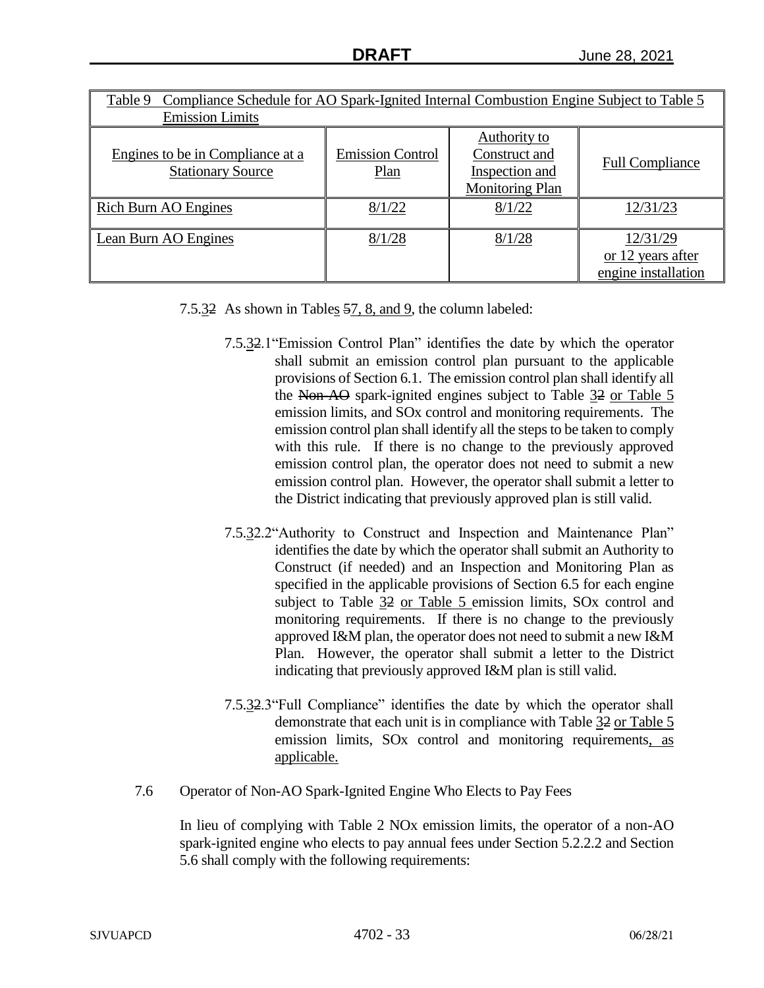| Compliance Schedule for AO Spark-Ignited Internal Combustion Engine Subject to Table 5<br>Table 9 |                                 |                                                                           |                                                      |  |
|---------------------------------------------------------------------------------------------------|---------------------------------|---------------------------------------------------------------------------|------------------------------------------------------|--|
| <b>Emission Limits</b>                                                                            |                                 |                                                                           |                                                      |  |
| Engines to be in Compliance at a<br><b>Stationary Source</b>                                      | <b>Emission Control</b><br>Plan | Authority to<br>Construct and<br>Inspection and<br><b>Monitoring Plan</b> | <b>Full Compliance</b>                               |  |
| <b>Rich Burn AO Engines</b>                                                                       | 8/1/22                          | 8/1/22                                                                    | 12/31/23                                             |  |
| Lean Burn AO Engines                                                                              | 8/1/28                          | 8/1/28                                                                    | 12/31/29<br>or 12 years after<br>engine installation |  |

- 7.5.32 As shown in Tables 57, 8, and 9, the column labeled:
	- 7.5.32.1"Emission Control Plan" identifies the date by which the operator shall submit an emission control plan pursuant to the applicable provisions of Section 6.1. The emission control plan shall identify all the Non-AO spark-ignited engines subject to Table 32 or Table 5 emission limits, and SOx control and monitoring requirements. The emission control plan shall identify all the steps to be taken to comply with this rule. If there is no change to the previously approved emission control plan, the operator does not need to submit a new emission control plan. However, the operator shall submit a letter to the District indicating that previously approved plan is still valid.
	- 7.5.32.2"Authority to Construct and Inspection and Maintenance Plan" identifies the date by which the operator shall submit an Authority to Construct (if needed) and an Inspection and Monitoring Plan as specified in the applicable provisions of Section 6.5 for each engine subject to Table 32 or Table 5 emission limits, SOx control and monitoring requirements. If there is no change to the previously approved I&M plan, the operator does not need to submit a new I&M Plan. However, the operator shall submit a letter to the District indicating that previously approved I&M plan is still valid.
	- 7.5.32.3"Full Compliance" identifies the date by which the operator shall demonstrate that each unit is in compliance with Table 32 or Table 5 emission limits, SO<sub>x</sub> control and monitoring requirements, as applicable.
- 7.6 Operator of Non-AO Spark-Ignited Engine Who Elects to Pay Fees

In lieu of complying with Table 2 NOx emission limits, the operator of a non-AO spark-ignited engine who elects to pay annual fees under Section 5.2.2.2 and Section 5.6 shall comply with the following requirements: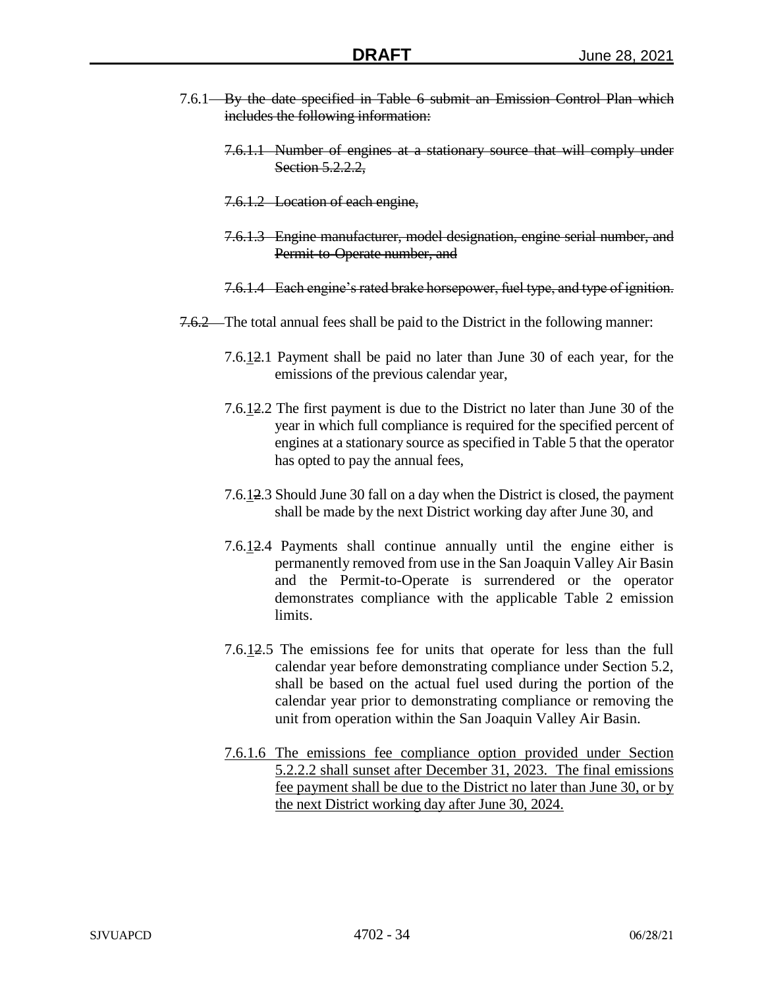- 7.6.1 By the date specified in Table 6 submit an Emission Control Plan which includes the following information:
	- 7.6.1.1 Number of engines at a stationary source that will comply under Section 5.2.2.2,
	- 7.6.1.2 Location of each engine,
	- 7.6.1.3 Engine manufacturer, model designation, engine serial number, and Permit-to-Operate number, and
	- 7.6.1.4 Each engine's rated brake horsepower, fuel type, and type of ignition.
- 7.6.2 The total annual fees shall be paid to the District in the following manner:
	- 7.6.12.1 Payment shall be paid no later than June 30 of each year, for the emissions of the previous calendar year,
	- 7.6.12.2 The first payment is due to the District no later than June 30 of the year in which full compliance is required for the specified percent of engines at a stationary source as specified in Table 5 that the operator has opted to pay the annual fees,
	- 7.6.12.3 Should June 30 fall on a day when the District is closed, the payment shall be made by the next District working day after June 30, and
	- 7.6.12.4 Payments shall continue annually until the engine either is permanently removed from use in the San Joaquin Valley Air Basin and the Permit-to-Operate is surrendered or the operator demonstrates compliance with the applicable Table 2 emission limits.
	- 7.6.12.5 The emissions fee for units that operate for less than the full calendar year before demonstrating compliance under Section 5.2, shall be based on the actual fuel used during the portion of the calendar year prior to demonstrating compliance or removing the unit from operation within the San Joaquin Valley Air Basin.
	- 7.6.1.6 The emissions fee compliance option provided under Section 5.2.2.2 shall sunset after December 31, 2023. The final emissions fee payment shall be due to the District no later than June 30, or by the next District working day after June 30, 2024.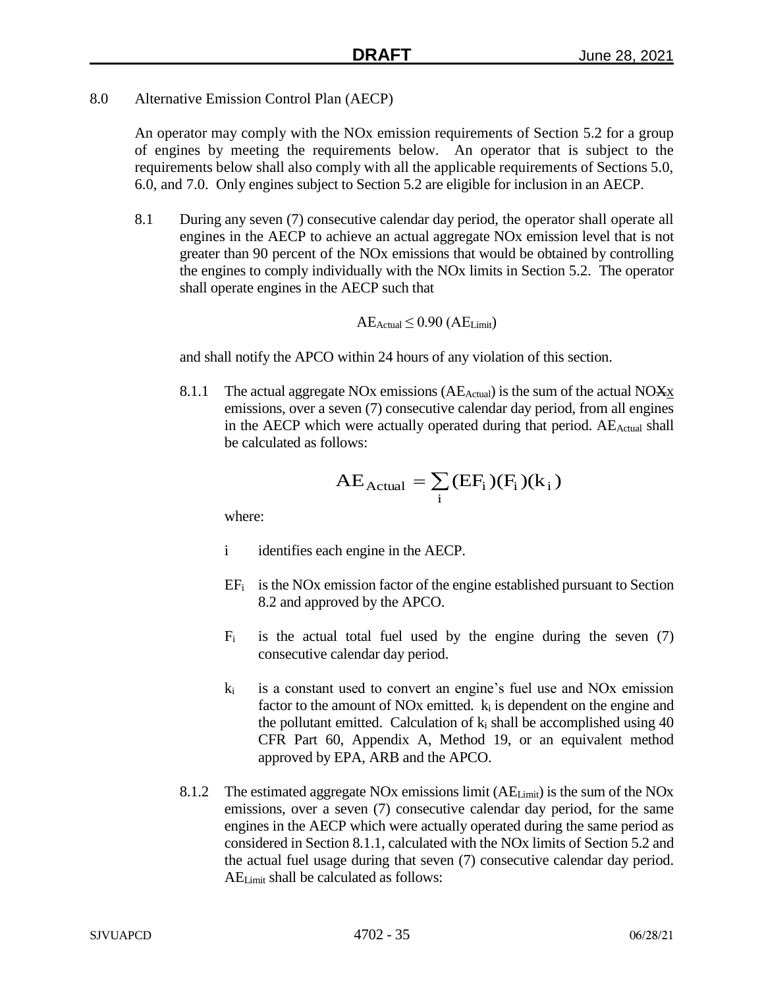8.0 Alternative Emission Control Plan (AECP)

An operator may comply with the NOx emission requirements of Section 5.2 for a group of engines by meeting the requirements below. An operator that is subject to the requirements below shall also comply with all the applicable requirements of Sections 5.0, 6.0, and 7.0. Only engines subject to Section 5.2 are eligible for inclusion in an AECP.

8.1 During any seven (7) consecutive calendar day period, the operator shall operate all engines in the AECP to achieve an actual aggregate NOx emission level that is not greater than 90 percent of the NOx emissions that would be obtained by controlling the engines to comply individually with the NOx limits in Section 5.2. The operator shall operate engines in the AECP such that

$$
AE_{Actual} \leq 0.90 (AE_{Limit})
$$

and shall notify the APCO within 24 hours of any violation of this section.

8.1.1 The actual aggregate NOx emissions ( $AE_{Actual}$ ) is the sum of the actual NO $\overline{X}X$ emissions, over a seven (7) consecutive calendar day period, from all engines in the AECP which were actually operated during that period. AE<sub>Actual</sub> shall be calculated as follows:

$$
AE_{Actual} = \sum_{i} (EF_{i}) (F_{i}) (k_{i})
$$

where:

- i identifies each engine in the AECP.
- $EF_i$  is the NOx emission factor of the engine established pursuant to Section 8.2 and approved by the APCO.
- $F_i$  is the actual total fuel used by the engine during the seven (7) consecutive calendar day period.
- $k_i$  is a constant used to convert an engine's fuel use and NOx emission factor to the amount of NOx emitted.  $k_i$  is dependent on the engine and the pollutant emitted. Calculation of  $k_i$  shall be accomplished using 40 CFR Part 60, Appendix A, Method 19, or an equivalent method approved by EPA, ARB and the APCO.
- 8.1.2 The estimated aggregate NOx emissions limit (AELimit) is the sum of the NOx emissions, over a seven (7) consecutive calendar day period, for the same engines in the AECP which were actually operated during the same period as considered in Section 8.1.1, calculated with the NOx limits of Section 5.2 and the actual fuel usage during that seven (7) consecutive calendar day period. AELimit shall be calculated as follows: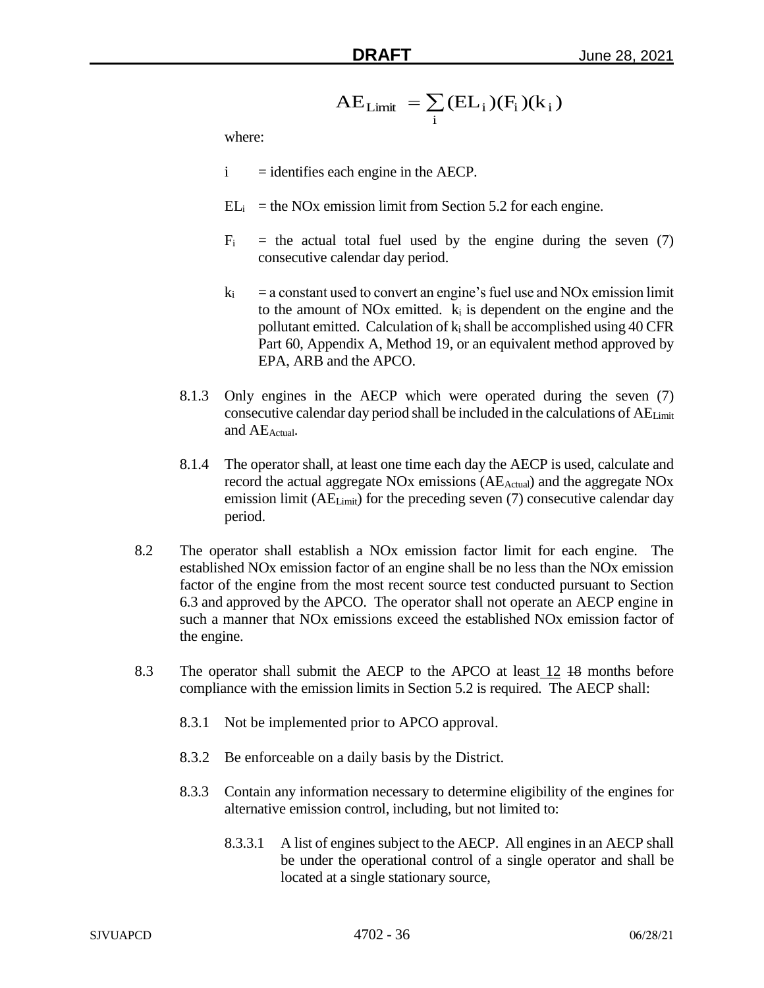$$
AE_{Limit} = \sum_{i} (EL_{i}) (F_{i}) (k_{i})
$$

where:

- $i =$  identifies each engine in the AECP.
- $EL_i$  = the NOx emission limit from Section 5.2 for each engine.
- $F_i$  = the actual total fuel used by the engine during the seven (7) consecutive calendar day period.
- $k_i$  = a constant used to convert an engine's fuel use and NOx emission limit to the amount of NO<sub>x</sub> emitted.  $k_i$  is dependent on the engine and the pollutant emitted. Calculation of  $k_i$  shall be accomplished using 40 CFR Part 60, Appendix A, Method 19, or an equivalent method approved by EPA, ARB and the APCO.
- 8.1.3 Only engines in the AECP which were operated during the seven (7) consecutive calendar day period shall be included in the calculations of AELimit and AEActual.
- 8.1.4 The operator shall, at least one time each day the AECP is used, calculate and record the actual aggregate NO<sub>x</sub> emissions (AE<sub>Actual</sub>) and the aggregate NO<sub>x</sub> emission limit (AE<sub>Limit</sub>) for the preceding seven (7) consecutive calendar day period.
- 8.2 The operator shall establish a NOx emission factor limit for each engine. The established NOx emission factor of an engine shall be no less than the NOx emission factor of the engine from the most recent source test conducted pursuant to Section 6.3 and approved by the APCO. The operator shall not operate an AECP engine in such a manner that NOx emissions exceed the established NOx emission factor of the engine.
- 8.3 The operator shall submit the AECP to the APCO at least 12 48 months before compliance with the emission limits in Section 5.2 is required. The AECP shall:
	- 8.3.1 Not be implemented prior to APCO approval.
	- 8.3.2 Be enforceable on a daily basis by the District.
	- 8.3.3 Contain any information necessary to determine eligibility of the engines for alternative emission control, including, but not limited to:
		- 8.3.3.1 A list of engines subject to the AECP. All engines in an AECP shall be under the operational control of a single operator and shall be located at a single stationary source,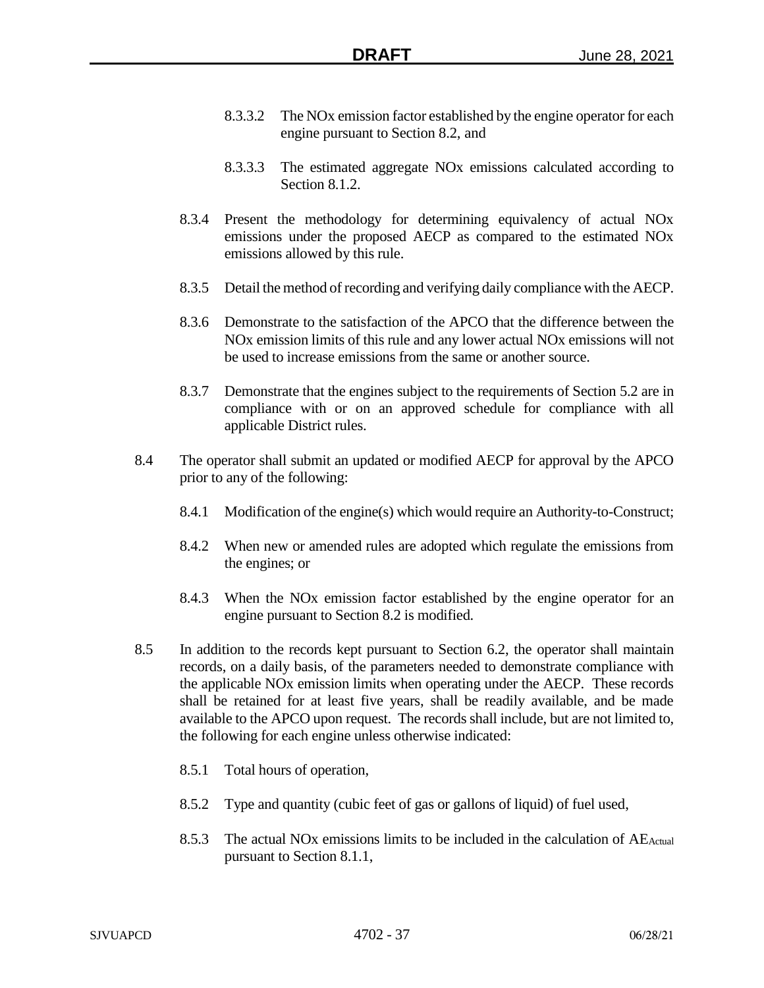- 8.3.3.2 The NOx emission factor established by the engine operator for each engine pursuant to Section 8.2, and
- 8.3.3.3 The estimated aggregate NOx emissions calculated according to Section 8.1.2.
- 8.3.4 Present the methodology for determining equivalency of actual NOx emissions under the proposed AECP as compared to the estimated NOx emissions allowed by this rule.
- 8.3.5 Detail the method of recording and verifying daily compliance with the AECP.
- 8.3.6 Demonstrate to the satisfaction of the APCO that the difference between the NOx emission limits of this rule and any lower actual NOx emissions will not be used to increase emissions from the same or another source.
- 8.3.7 Demonstrate that the engines subject to the requirements of Section 5.2 are in compliance with or on an approved schedule for compliance with all applicable District rules.
- 8.4 The operator shall submit an updated or modified AECP for approval by the APCO prior to any of the following:
	- 8.4.1 Modification of the engine(s) which would require an Authority-to-Construct;
	- 8.4.2 When new or amended rules are adopted which regulate the emissions from the engines; or
	- 8.4.3 When the NOx emission factor established by the engine operator for an engine pursuant to Section 8.2 is modified.
- 8.5 In addition to the records kept pursuant to Section 6.2, the operator shall maintain records, on a daily basis, of the parameters needed to demonstrate compliance with the applicable NOx emission limits when operating under the AECP. These records shall be retained for at least five years, shall be readily available, and be made available to the APCO upon request. The records shall include, but are not limited to, the following for each engine unless otherwise indicated:
	- 8.5.1 Total hours of operation,
	- 8.5.2 Type and quantity (cubic feet of gas or gallons of liquid) of fuel used,
	- 8.5.3 The actual NOx emissions limits to be included in the calculation of  $AE_{Actual}$ pursuant to Section 8.1.1,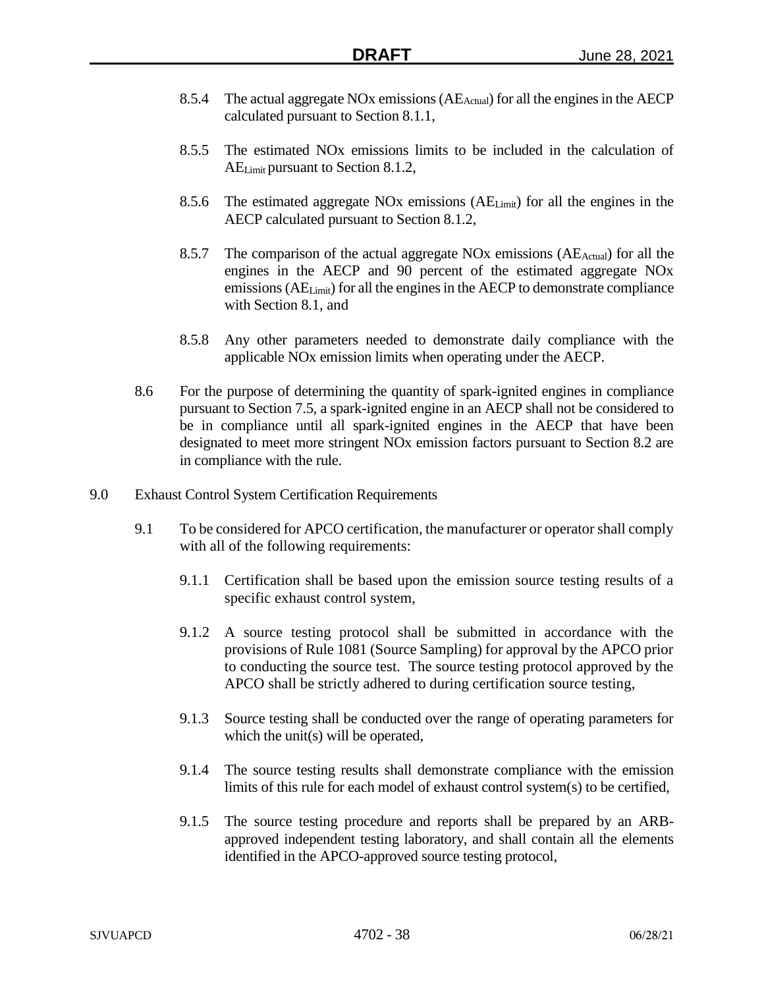- 8.5.4 The actual aggregate NOx emissions  $(AE_{\text{Actual}})$  for all the engines in the AECP calculated pursuant to Section 8.1.1,
- 8.5.5 The estimated NOx emissions limits to be included in the calculation of AELimit pursuant to Section 8.1.2,
- 8.5.6 The estimated aggregate NOx emissions  $(AE_{Limit})$  for all the engines in the AECP calculated pursuant to Section 8.1.2,
- 8.5.7 The comparison of the actual aggregate NOx emissions  $(AE_{Actual})$  for all the engines in the AECP and 90 percent of the estimated aggregate NOx emissions (AELimit) for all the engines in the AECP to demonstrate compliance with Section 8.1, and
- 8.5.8 Any other parameters needed to demonstrate daily compliance with the applicable NOx emission limits when operating under the AECP.
- 8.6 For the purpose of determining the quantity of spark-ignited engines in compliance pursuant to Section 7.5, a spark-ignited engine in an AECP shall not be considered to be in compliance until all spark-ignited engines in the AECP that have been designated to meet more stringent NOx emission factors pursuant to Section 8.2 are in compliance with the rule.
- 9.0 Exhaust Control System Certification Requirements
	- 9.1 To be considered for APCO certification, the manufacturer or operator shall comply with all of the following requirements:
		- 9.1.1 Certification shall be based upon the emission source testing results of a specific exhaust control system,
		- 9.1.2 A source testing protocol shall be submitted in accordance with the provisions of Rule 1081 (Source Sampling) for approval by the APCO prior to conducting the source test. The source testing protocol approved by the APCO shall be strictly adhered to during certification source testing,
		- 9.1.3 Source testing shall be conducted over the range of operating parameters for which the unit(s) will be operated,
		- 9.1.4 The source testing results shall demonstrate compliance with the emission limits of this rule for each model of exhaust control system(s) to be certified,
		- 9.1.5 The source testing procedure and reports shall be prepared by an ARBapproved independent testing laboratory, and shall contain all the elements identified in the APCO-approved source testing protocol,